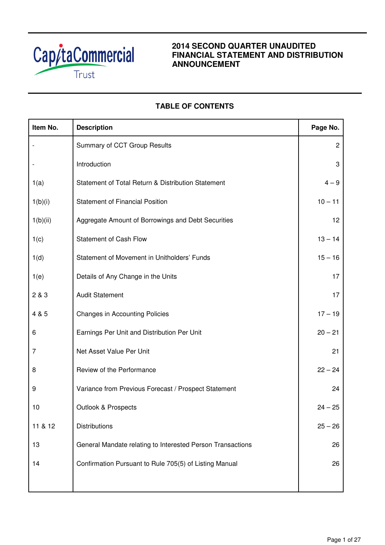

# **2014 SECOND QUARTER UNAUDITED FINANCIAL STATEMENT AND DISTRIBUTION ANNOUNCEMENT**

# **TABLE OF CONTENTS**

| Item No.       | <b>Description</b>                                         | Page No.       |
|----------------|------------------------------------------------------------|----------------|
|                | Summary of CCT Group Results                               | $\overline{c}$ |
|                | Introduction                                               | 3              |
| 1(a)           | Statement of Total Return & Distribution Statement         | $4 - 9$        |
| 1(b)(i)        | <b>Statement of Financial Position</b>                     | $10 - 11$      |
| 1(b)(ii)       | Aggregate Amount of Borrowings and Debt Securities         | 12             |
| 1(c)           | <b>Statement of Cash Flow</b>                              | $13 - 14$      |
| 1(d)           | Statement of Movement in Unitholders' Funds                | $15 - 16$      |
| 1(e)           | Details of Any Change in the Units                         | 17             |
| 2 & 3          | <b>Audit Statement</b>                                     | 17             |
| 4 & 5          | <b>Changes in Accounting Policies</b>                      | $17 - 19$      |
| 6              | Earnings Per Unit and Distribution Per Unit                | $20 - 21$      |
| $\overline{7}$ | Net Asset Value Per Unit                                   | 21             |
| 8              | Review of the Performance                                  | $22 - 24$      |
| 9              | Variance from Previous Forecast / Prospect Statement       | 24             |
| 10             | Outlook & Prospects                                        | $24 - 25$      |
| 11 & 12        | <b>Distributions</b>                                       | $25 - 26$      |
| 13             | General Mandate relating to Interested Person Transactions | 26             |
| 14             | Confirmation Pursuant to Rule 705(5) of Listing Manual     | 26             |
|                |                                                            |                |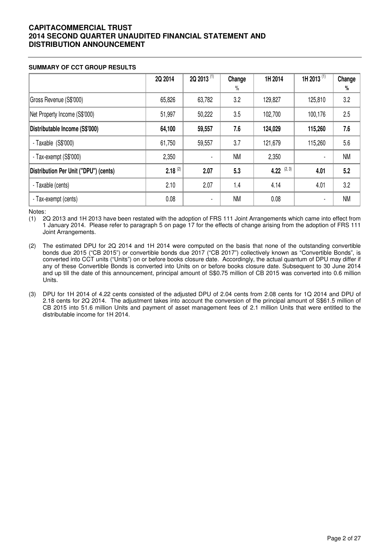### **SUMMARY OF CCT GROUP RESULTS**

|                                       | 2Q 2014      | 2Q 2013 <sup>(1)</sup> | Change    | 1H 2014       | 1H 2013 <sup>(1)</sup> | Change    |
|---------------------------------------|--------------|------------------------|-----------|---------------|------------------------|-----------|
|                                       |              |                        | $\%$      |               |                        | $\%$      |
| Gross Revenue (S\$'000)               | 65,826       | 63,782                 | 3.2       | 129,827       | 125,810                | 3.2       |
| Net Property Income (S\$'000)         | 51,997       | 50,222                 | 3.5       | 102,700       | 100,176                | 2.5       |
| Distributable Income (S\$'000)        | 64,100       | 59,557                 | 7.6       | 124,029       | 115,260                | 7.6       |
| - Taxable (S\$'000)                   | 61,750       | 59,557                 | 3.7       | 121,679       | 115,260                | 5.6       |
| - Tax-exempt (S\$'000)                | 2,350        |                        | <b>NM</b> | 2,350         |                        | <b>NM</b> |
| Distribution Per Unit ("DPU") (cents) | $2.18^{(2)}$ | 2.07                   | 5.3       | 4.22 $(2, 3)$ | 4.01                   | 5.2       |
| - Taxable (cents)                     | 2.10         | 2.07                   | 1.4       | 4.14          | 4.01                   | 3.2       |
| - Tax-exempt (cents)                  | 0.08         | $\blacksquare$         | <b>NM</b> | 0.08          | $\blacksquare$         | <b>NM</b> |

Notes:

(1) 2Q 2013 and 1H 2013 have been restated with the adoption of FRS 111 Joint Arrangements which came into effect from 1 January 2014. Please refer to paragraph 5 on page 17 for the effects of change arising from the adoption of FRS 111 Joint Arrangements.

- (2) The estimated DPU for 2Q 2014 and 1H 2014 were computed on the basis that none of the outstanding convertible bonds due 2015 ("CB 2015") or convertible bonds due 2017 ("CB 2017") collectively known as "Convertible Bonds", is converted into CCT units ("Units") on or before books closure date. Accordingly, the actual quantum of DPU may differ if any of these Convertible Bonds is converted into Units on or before books closure date. Subsequent to 30 June 2014 and up till the date of this announcement, principal amount of S\$0.75 million of CB 2015 was converted into 0.6 million Units.
- (3) DPU for 1H 2014 of 4.22 cents consisted of the adjusted DPU of 2.04 cents from 2.08 cents for 1Q 2014 and DPU of 2.18 cents for 2Q 2014. The adjustment takes into account the conversion of the principal amount of S\$61.5 million of CB 2015 into 51.6 million Units and payment of asset management fees of 2.1 million Units that were entitled to the distributable income for 1H 2014.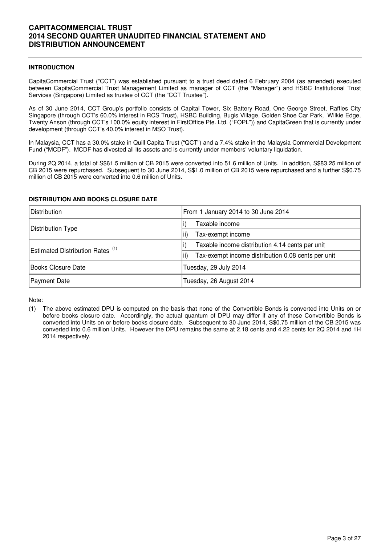### **INTRODUCTION**

CapitaCommercial Trust ("CCT") was established pursuant to a trust deed dated 6 February 2004 (as amended) executed between CapitaCommercial Trust Management Limited as manager of CCT (the "Manager") and HSBC Institutional Trust Services (Singapore) Limited as trustee of CCT (the "CCT Trustee").

As of 30 June 2014, CCT Group's portfolio consists of Capital Tower, Six Battery Road, One George Street, Raffles City Singapore (through CCT's 60.0% interest in RCS Trust), HSBC Building, Bugis Village, Golden Shoe Car Park, Wilkie Edge, Twenty Anson (through CCT's 100.0% equity interest in FirstOffice Pte. Ltd. ("FOPL")) and CapitaGreen that is currently under development (through CCT's 40.0% interest in MSO Trust).

In Malaysia, CCT has a 30.0% stake in Quill Capita Trust ("QCT") and a 7.4% stake in the Malaysia Commercial Development Fund ("MCDF"). MCDF has divested all its assets and is currently under members' voluntary liquidation.

During 2Q 2014, a total of S\$61.5 million of CB 2015 were converted into 51.6 million of Units. In addition, S\$83.25 million of CB 2015 were repurchased. Subsequent to 30 June 2014, S\$1.0 million of CB 2015 were repurchased and a further S\$0.75 million of CB 2015 were converted into 0.6 million of Units.

| Distribution                                | From 1 January 2014 to 30 June 2014                       |  |  |  |  |
|---------------------------------------------|-----------------------------------------------------------|--|--|--|--|
| Distribution Type                           | Taxable income                                            |  |  |  |  |
|                                             | Tax-exempt income<br>ii)                                  |  |  |  |  |
| Estimated Distribution Rates <sup>(1)</sup> | Taxable income distribution 4.14 cents per unit           |  |  |  |  |
|                                             | Tax-exempt income distribution 0.08 cents per unit<br>ii) |  |  |  |  |
| Books Closure Date                          | Tuesday, 29 July 2014                                     |  |  |  |  |
| Payment Date                                | Tuesday, 26 August 2014                                   |  |  |  |  |

### **DISTRIBUTION AND BOOKS CLOSURE DATE**

Note:

<sup>(1)</sup> The above estimated DPU is computed on the basis that none of the Convertible Bonds is converted into Units on or before books closure date. Accordingly, the actual quantum of DPU may differ if any of these Convertible Bonds is converted into Units on or before books closure date. Subsequent to 30 June 2014, S\$0.75 million of the CB 2015 was converted into 0.6 million Units. However the DPU remains the same at 2.18 cents and 4.22 cents for 2Q 2014 and 1H 2014 respectively.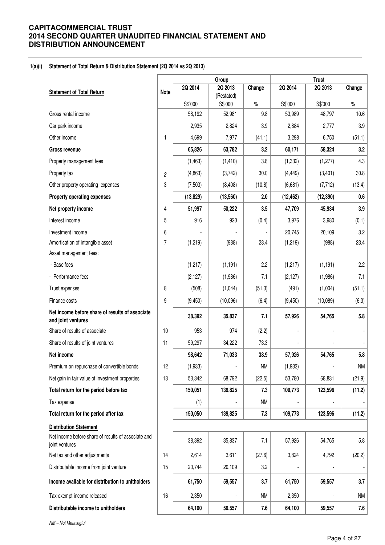### **1(a)(i) Statement of Total Return & Distribution Statement (2Q 2014 vs 2Q 2013)**

|                                                                       |                |           | Group                 |           | <b>Trust</b> |           |           |  |
|-----------------------------------------------------------------------|----------------|-----------|-----------------------|-----------|--------------|-----------|-----------|--|
| <b>Statement of Total Return</b>                                      | Note           | 2Q 2014   | 2Q 2013               | Change    | 2Q 2014      | 2Q 2013   | Change    |  |
|                                                                       |                | S\$'000   | (Restated)<br>S\$'000 | $\%$      | S\$'000      | S\$'000   | $\%$      |  |
| Gross rental income                                                   |                | 58,192    | 52,981                | 9.8       | 53,989       | 48,797    | 10.6      |  |
| Car park income                                                       |                | 2,935     | 2,824                 | 3.9       | 2,884        | 2,777     | 3.9       |  |
| Other income                                                          | 1              | 4,699     | 7,977                 | (41.1)    | 3,298        | 6,750     | (51.1)    |  |
| Gross revenue                                                         |                | 65,826    | 63,782                | 3.2       | 60,171       | 58,324    | 3.2       |  |
| Property management fees                                              |                | (1, 463)  | (1, 410)              | 3.8       | (1, 332)     | (1, 277)  | 4.3       |  |
| Property tax                                                          | $\overline{c}$ | (4,863)   | (3,742)               | 30.0      | (4, 449)     | (3,401)   | 30.8      |  |
| Other property operating expenses                                     | 3              | (7, 503)  | (8, 408)              | (10.8)    | (6,681)      | (7, 712)  | (13.4)    |  |
| Property operating expenses                                           |                | (13, 829) | (13, 560)             | 2.0       | (12, 462)    | (12, 390) | 0.6       |  |
| Net property income                                                   | 4              | 51,997    | 50,222                | 3.5       | 47,709       | 45,934    | 3.9       |  |
| Interest income                                                       | 5              | 916       | 920                   | (0.4)     | 3,976        | 3,980     | (0.1)     |  |
| Investment income                                                     | 6              |           |                       |           | 20,745       | 20,109    | 3.2       |  |
| Amortisation of intangible asset                                      | 7              | (1, 219)  | (988)                 | 23.4      | (1, 219)     | (988)     | 23.4      |  |
| Asset management fees:                                                |                |           |                       |           |              |           |           |  |
| - Base fees                                                           |                | (1, 217)  | (1, 191)              | 2.2       | (1, 217)     | (1, 191)  | 2.2       |  |
| - Performance fees                                                    |                | (2, 127)  | (1,986)               | 7.1       | (2, 127)     | (1,986)   | 7.1       |  |
| Trust expenses                                                        | 8              | (508)     | (1,044)               | (51.3)    | (491)        | (1,004)   | (51.1)    |  |
| Finance costs                                                         | 9              | (9, 450)  | (10,096)              | (6.4)     | (9,450)      | (10,089)  | (6.3)     |  |
| Net income before share of results of associate<br>and joint ventures |                | 38,392    | 35,837                | 7.1       | 57,926       | 54,765    | 5.8       |  |
| Share of results of associate                                         | 10             | 953       | 974                   | (2.2)     |              |           |           |  |
| Share of results of joint ventures                                    | 11             | 59,297    | 34,222                | 73.3      |              |           |           |  |
| Net income                                                            |                | 98,642    | 71,033                | 38.9      | 57,926       | 54,765    | 5.8       |  |
| Premium on repurchase of convertible bonds                            | 12             | (1,933)   |                       | <b>NM</b> | (1,933)      |           | <b>NM</b> |  |
| Net gain in fair value of investment properties                       | 13             | 53,342    | 68,792                | (22.5)    | 53,780       | 68,831    | (21.9)    |  |
| Total return for the period before tax                                |                | 150,051   | 139,825               | 7.3       | 109,773      | 123,596   | (11.2)    |  |
| Tax expense                                                           |                | (1)       |                       | <b>NM</b> |              |           |           |  |
| Total return for the period after tax                                 |                | 150,050   | 139,825               | 7.3       | 109,773      | 123,596   | (11.2)    |  |
| <b>Distribution Statement</b>                                         |                |           |                       |           |              |           |           |  |
| Net income before share of results of associate and<br>joint ventures |                | 38,392    | 35,837                | 7.1       | 57,926       | 54,765    | 5.8       |  |
| Net tax and other adjustments                                         | 14             | 2,614     | 3,611                 | (27.6)    | 3,824        | 4,792     | (20.2)    |  |
| Distributable income from joint venture                               | 15             | 20,744    | 20,109                | 3.2       |              |           |           |  |
| Income available for distribution to unitholders                      |                | 61,750    | 59,557                | 3.7       | 61,750       | 59,557    | 3.7       |  |
| Tax-exempt income released                                            | 16             | 2,350     |                       | ΝM        | 2,350        |           | <b>NM</b> |  |
| Distributable income to unitholders                                   |                | 64,100    | 59,557                | 7.6       | 64,100       | 59,557    | 7.6       |  |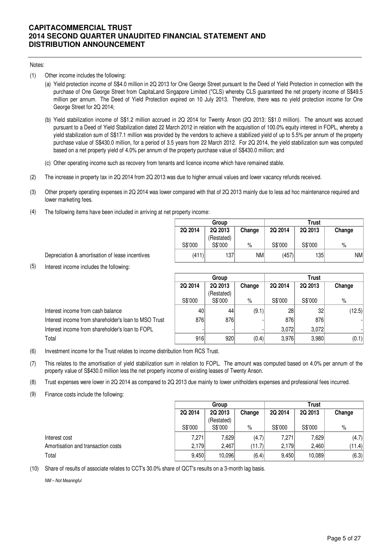#### Notes:

- (1) Other income includes the following:
	- (a) Yield protection income of S\$4.0 million in 2Q 2013 for One George Street pursuant to the Deed of Yield Protection in connection with the purchase of One George Street from CapitaLand Singapore Limited ("CLS) whereby CLS guaranteed the net property income of S\$49.5 million per annum. The Deed of Yield Protection expired on 10 July 2013. Therefore, there was no yield protection income for One George Street for 2Q 2014;
	- (b) Yield stabilization income of S\$1.2 million accrued in 2Q 2014 for Twenty Anson (2Q 2013: S\$1.0 million). The amount was accrued pursuant to a Deed of Yield Stabilization dated 22 March 2012 in relation with the acquisition of 100.0% equity interest in FOPL, whereby a yield stabilization sum of S\$17.1 million was provided by the vendors to achieve a stabilized yield of up to 5.5% per annum of the property purchase value of S\$430.0 million, for a period of 3.5 years from 22 March 2012. For 2Q 2014, the yield stabilization sum was computed based on a net property yield of 4.0% per annum of the property purchase value of S\$430.0 million; and
	- (c) Other operating income such as recovery from tenants and licence income which have remained stable.
- (2) The increase in property tax in 2Q 2014 from 2Q 2013 was due to higher annual values and lower vacancy refunds received.
- (3) Other property operating expenses in 2Q 2014 was lower compared with that of 2Q 2013 mainly due to less ad hoc maintenance required and lower marketing fees.
- (4) The following items have been included in arriving at net property income:

|         | Group      |        | Trust   |         |        |  |  |
|---------|------------|--------|---------|---------|--------|--|--|
| 2Q 2014 | 2Q 2013    | Change | 2Q 2014 | 2Q 2013 | Change |  |  |
|         | (Restated) |        |         |         |        |  |  |
| S\$'000 | S\$'000    | %      | S\$'000 | S\$'000 | %      |  |  |
| (411)   | 137        | NM     | (457)   | 1351    | NMl    |  |  |

Depreciation & amortisation of lease incentives

(5) Interest income includes the following:

|                                                      |         | Group      |        | Trust   |                 |        |  |
|------------------------------------------------------|---------|------------|--------|---------|-----------------|--------|--|
|                                                      | 2Q 2014 | 2Q 2013    | Change | 2Q 2014 | 2Q 2013         | Change |  |
|                                                      |         | (Restated) |        |         |                 |        |  |
|                                                      | S\$'000 | S\$'000    | %      | S\$'000 | S\$'000         | %      |  |
| Interest income from cash balance                    | 40      | 44         | (9.1)  | 28      | 32 <sub>2</sub> | (12.5) |  |
| Interest income from shareholder's loan to MSO Trust | 876     | 876        |        | 876     | 876             |        |  |
| Interest income from shareholder's loan to FOPL      |         |            |        | 3,072   | 3,072           |        |  |
| Total                                                | 916     | 920        | (0.4)  | 3.976   | 3,980           | (0.1)  |  |

(6) Investment income for the Trust relates to income distribution from RCS Trust.

- (7) This relates to the amortisation of yield stabilization sum in relation to FOPL. The amount was computed based on 4.0% per annum of the property value of S\$430.0 million less the net property income of existing leases of Twenty Anson.
- (8) Trust expenses were lower in 2Q 2014 as compared to 2Q 2013 due mainly to lower unitholders expenses and professional fees incurred.
- (9) Finance costs include the following:

|                                    |         | Group      |        |         | <b>Trust</b> |        |  |  |
|------------------------------------|---------|------------|--------|---------|--------------|--------|--|--|
|                                    | 2Q 2014 | 2Q 2013    | Change | 2Q 2014 | 2Q 2013      | Change |  |  |
|                                    |         | (Restated) |        |         |              |        |  |  |
|                                    | S\$'000 | S\$'000    | $\%$   | S\$'000 | S\$'000      | $\%$   |  |  |
| Interest cost                      | 7,271   | 7,629      | (4.7)  | 7,271   | 7,629        | (4.7)  |  |  |
| Amortisation and transaction costs | 2.179   | 2.467      | (11.7) | 2,179   | 2.460        | (11.4) |  |  |
| Total                              | 9,450   | 10,096     | (6.4)  | 9,450   | 10,089       | (6.3)  |  |  |

(10) Share of results of associate relates to CCT's 30.0% share of QCT's results on a 3-month lag basis.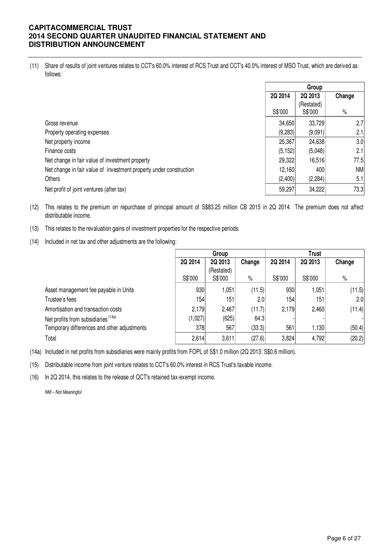(11) Share of results of joint ventures relates to CCT's 60.0% interest of RCS Trust and CCT's 40.0% interest of MSO Trust, which are derived as follows:

|                                                                    |          | Group      |        |
|--------------------------------------------------------------------|----------|------------|--------|
|                                                                    | 2Q 2014  | 2Q 2013    | Change |
|                                                                    |          | (Restated) |        |
|                                                                    | S\$'000  | S\$'000    | $\%$   |
| Gross revenue                                                      | 34,650   | 33,729     | 2.7    |
| Property operating expenses                                        | (9,283)  | (9,091)    | 2.1    |
| Net property income                                                | 25,367   | 24,638     | 3.0    |
| Finance costs                                                      | (5, 152) | (5,048)    | 2.1    |
| Net change in fair value of investment property                    | 29,322   | 16,516     | 77.5   |
| Net change in fair value of investment property under construction | 12,160   | 400        | NM     |
| Others                                                             | (2,400)  | (2, 284)   | 5.1    |
| Net profit of joint ventures (after tax)                           | 59,297   | 34,222     | 73.3   |

- (12) This relates to the premium on repurchase of principal amount of S\$83.25 million CB 2015 in 2Q 2014. The premium does not affect distributable income.
- (13) This relates to the revaluation gains of investment properties for the respective periods.
- (14) Included in net tax and other adjustments are the following:

|                                             |         | Group      |        | <b>Trust</b> |         |        |  |
|---------------------------------------------|---------|------------|--------|--------------|---------|--------|--|
|                                             | 2Q 2014 | 2Q 2013    | Change | 2Q 2014      | 2Q 2013 | Change |  |
|                                             |         | (Restated) |        |              |         |        |  |
|                                             | S\$'000 | S\$'000    | $\%$   | S\$'000      | S\$'000 | $\%$   |  |
| Asset management fee payable in Units       | 930     | 1,051      | (11.5) | 930          | 1,051   | (11.5) |  |
| Trustee's fees                              | 154     | 151        | 2.0    | 154          | 151     | 2.0    |  |
| Amortisation and transaction costs          | 2,179   | 2,467      | (11.7) | 2,179        | 2,460   | (11.4) |  |
| Net profits from subsidiaries (14a)         | (1,027) | (625)      | 64.3   |              |         |        |  |
| Temporary differences and other adjustments | 378     | 567        | (33.3) | 561          | 1,130   | (50.4) |  |
| Total                                       | 2,614   | 3,611      | (27.6) | 3,824        | 4,792   | (20.2) |  |

(14a) Included in net profits from subsidiaries were mainly profits from FOPL of S\$1.0 million (2Q 2013: S\$0.6 million).

(15) Distributable income from joint venture relates to CCT's 60.0% interest in RCS Trust's taxable income.

(16) In 2Q 2014, this relates to the release of QCT's retained tax-exempt income.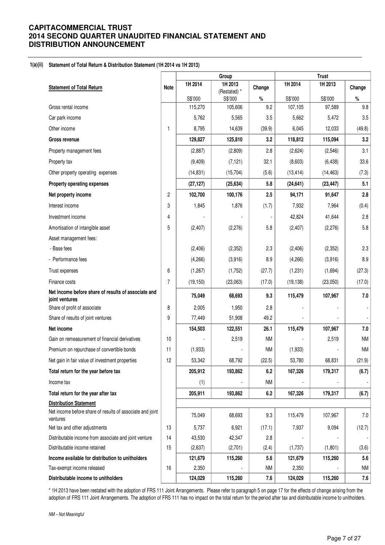#### **1(a)(ii) Statement of Total Return & Distribution Statement (1H 2014 vs 1H 2013)**

|                                                                       |                | Group     |                         |           |           | <b>Trust</b> |           |
|-----------------------------------------------------------------------|----------------|-----------|-------------------------|-----------|-----------|--------------|-----------|
| <b>Statement of Total Return</b>                                      | <b>Note</b>    | 1H 2014   | 1H 2013<br>(Restated) * | Change    | 1H 2014   | 1H 2013      | Change    |
|                                                                       |                | S\$'000   | S\$'000                 | $\%$      | S\$'000   | S\$'000      | $\%$      |
| Gross rental income                                                   |                | 115,270   | 105,606                 | 9.2       | 107,105   | 97,589       | 9.8       |
| Car park income                                                       |                | 5,762     | 5,565                   | 3.5       | 5,662     | 5,472        | 3.5       |
| Other income                                                          | 1              | 8,795     | 14,639                  | (39.9)    | 6,045     | 12,033       | (49.8)    |
| <b>Gross revenue</b>                                                  |                | 129,827   | 125,810                 | 3.2       | 118,812   | 115,094      | 3.2       |
| Property management fees                                              |                | (2,887)   | (2,809)                 | 2.8       | (2,624)   | (2, 546)     | 3.1       |
| Property tax                                                          |                | (9,409)   | (7, 121)                | 32.1      | (8,603)   | (6, 438)     | 33.6      |
| Other property operating expenses                                     |                | (14, 831) | (15,704)                | (5.6)     | (13, 414) | (14, 463)    | (7.3)     |
| Property operating expenses                                           |                | (27, 127) | (25, 634)               | 5.8       | (24, 641) | (23, 447)    | 5.1       |
| Net property income                                                   | $\overline{c}$ | 102,700   | 100,176                 | 2.5       | 94,171    | 91,647       | 2.8       |
| Interest income                                                       | 3              | 1,845     | 1,876                   | (1.7)     | 7,932     | 7,964        | (0.4)     |
| Investment income                                                     | 4              |           |                         |           | 42,824    | 41,644       | 2.8       |
| Amortisation of intangible asset                                      | 5              | (2, 407)  | (2,276)                 | 5.8       | (2,407)   | (2,276)      | 5.8       |
| Asset management fees:                                                |                |           |                         |           |           |              |           |
| - Base fees                                                           |                | (2, 406)  | (2, 352)                | 2.3       | (2, 406)  | (2, 352)     | 2.3       |
| - Performance fees                                                    |                | (4,266)   | (3,916)                 | 8.9       | (4,266)   | (3,916)      | 8.9       |
| Trust expenses                                                        | 6              | (1,267)   | (1,752)                 | (27.7)    | (1,231)   | (1,694)      | (27.3)    |
| Finance costs                                                         | 7              | (19, 150) | (23,063)                | (17.0)    | (19, 138) | (23,050)     | (17.0)    |
| Net income before share of results of associate and<br>joint ventures |                | 75,049    | 68,693                  | 9.3       | 115,479   | 107,967      | 7.0       |
| Share of profit of associate                                          | 8              | 2,005     | 1,950                   | 2.8       |           |              |           |
| Share of results of joint ventures                                    | 9              | 77,449    | 51,908                  | 49.2      |           |              |           |
| Net income                                                            |                | 154,503   | 122,551                 | 26.1      | 115,479   | 107,967      | $7.0$     |
| Gain on remeasurement of financial derivatives                        | 10             |           | 2,519                   | <b>NM</b> |           | 2,519        | <b>NM</b> |
| Premium on repurchase of convertible bonds                            | 11             | (1,933)   |                         | <b>NM</b> | (1,933)   |              | <b>NM</b> |
| Net gain in fair value of investment properties                       | 12             | 53,342    | 68,792                  | (22.5)    | 53,780    | 68,831       | (21.9)    |
| Total return for the year before tax                                  |                | 205,912   | 193,862                 | 6.2       | 167,326   | 179,317      | (6.7)     |
| Income tax                                                            |                | (1)       |                         | <b>NM</b> |           |              |           |
| Total return for the year after tax                                   |                | 205,911   | 193,862                 | 6.2       | 167,326   | 179,317      | (6.7)     |
| <b>Distribution Statement</b>                                         |                |           |                         |           |           |              |           |
| Net income before share of results of associate and joint<br>ventures |                | 75,049    | 68,693                  | 9.3       | 115,479   | 107,967      | 7.0       |
| Net tax and other adjustments                                         | 13             | 5,737     | 6,921                   | (17.1)    | 7,937     | 9,094        | (12.7)    |
| Distributable income from associate and joint venture                 | 14             | 43,530    | 42,347                  | 2.8       |           |              |           |
| Distributable income retained                                         | 15             | (2,637)   | (2,701)                 | (2.4)     | (1,737)   | (1,801)      | (3.6)     |
| Income available for distribution to unitholders                      |                | 121,679   | 115,260                 | 5.6       | 121,679   | 115,260      | 5.6       |
| Tax-exempt income released                                            | 16             | 2,350     |                         | <b>NM</b> | 2,350     |              | <b>NM</b> |
| Distributable income to unitholders                                   |                | 124,029   | 115,260                 | 7.6       | 124,029   | 115,260      | 7.6       |

\* 1H 2013 have been restated with the adoption of FRS 111 Joint Arrangements. Please refer to paragraph 5 on page 17 for the effects of change arising from the adoption of FRS 111 Joint Arrangements. The adoption of FRS 111 has no impact on the total return for the period after tax and distributable income to unitholders.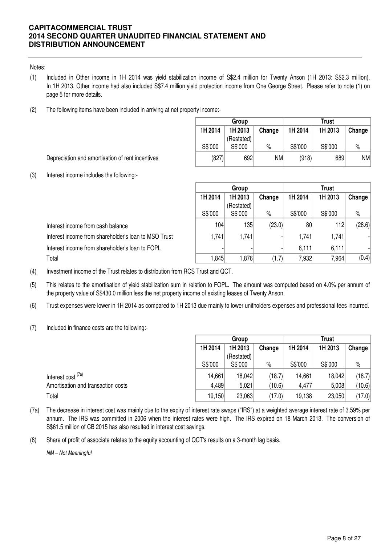### Notes:

- (1) Included in Other income in 1H 2014 was yield stabilization income of S\$2.4 million for Twenty Anson (1H 2013: S\$2.3 million). In 1H 2013, Other income had also included S\$7.4 million yield protection income from One George Street. Please refer to note (1) on page 5 for more details.
- (2) The following items have been included in arriving at net property income:-

|         | Group                 |        |         | <b>Trust</b> |           |
|---------|-----------------------|--------|---------|--------------|-----------|
| 1H 2014 | 1H 2013               | Change | 1H 2014 | 1H 2013      | Change    |
| S\$'000 | (Restated)<br>S\$'000 | $\%$   | S\$'000 | S\$'000      | $\%$      |
| (827)   | 692                   | NM     | (918)   | 689          | <b>NM</b> |

Depreciation and amortisation of rent incentives

(3) Interest income includes the following:-

|                                                      | Group   |            |        | <b>Trust</b>    |         |        |
|------------------------------------------------------|---------|------------|--------|-----------------|---------|--------|
|                                                      | 1H 2014 | 1H 2013    | Change | 1H 2014         | 1H 2013 | Change |
|                                                      |         | (Restated) |        |                 |         |        |
|                                                      | S\$'000 | S\$'000    | $\%$   | S\$'000         | S\$'000 | $\%$   |
| Interest income from cash balance                    | 104     | 135        | (23.0) | 80 <sup>2</sup> | 112     | (28.6) |
| Interest income from shareholder's loan to MSO Trust | 1,741   | 1,741      |        | 1,741           | 1,741   |        |
| Interest income from shareholder's loan to FOPL      |         |            |        | 6,111           | 6,111   |        |
| Total                                                | 1,845   | ا76,1      | (1.7)  | 7,932           | 7,964   | (0.4)  |

(4) Investment income of the Trust relates to distribution from RCS Trust and QCT.

- (5) This relates to the amortisation of yield stabilization sum in relation to FOPL. The amount was computed based on 4.0% per annum of the property value of S\$430.0 million less the net property income of existing leases of Twenty Anson.
- (6) Trust expenses were lower in 1H 2014 as compared to 1H 2013 due mainly to lower unitholders expenses and professional fees incurred.
- (7) Included in finance costs are the following:-

|                                    | Group                        |            |        | <b>Trust</b> |         |        |
|------------------------------------|------------------------------|------------|--------|--------------|---------|--------|
|                                    | 1H 2014<br>1H 2013<br>Change |            |        | 1H 2014      | 1H 2013 | Change |
|                                    |                              | (Restated) |        |              |         |        |
|                                    | S\$'000                      | S\$'000    | $\%$   | S\$'000      | S\$'000 | $\%$   |
| Interest cost <sup>(7a)</sup>      | 14,661                       | 18,042     | (18.7) | 14,661       | 18,042  | (18.7) |
| Amortisation and transaction costs | 4,489                        | 5,021      | (10.6) | 4,477        | 5,008   | (10.6) |
| Total                              | 19,150                       | 23,063     | (17.0) | 19,138       | 23,050  | (17.0) |

- (7a) The decrease in interest cost was mainly due to the expiry of interest rate swaps ("IRS") at a weighted average interest rate of 3.59% per annum. The IRS was committed in 2006 when the interest rates were high. The IRS expired on 18 March 2013. The conversion of S\$61.5 million of CB 2015 has also resulted in interest cost savings.
- (8) Share of profit of associate relates to the equity accounting of QCT's results on a 3-month lag basis.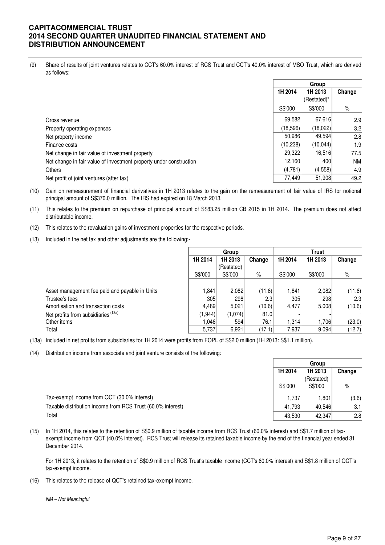(9) Share of results of joint ventures relates to CCT's 60.0% interest of RCS Trust and CCT's 40.0% interest of MSO Trust, which are derived as follows:

|                                                                    | Group                        |             |           |
|--------------------------------------------------------------------|------------------------------|-------------|-----------|
|                                                                    | 1H 2014<br>1H 2013<br>Change |             |           |
|                                                                    |                              | (Restated)* |           |
|                                                                    | S\$'000                      | S\$'000     | %         |
| Gross revenue                                                      | 69,582                       | 67,616      | 2.9       |
| Property operating expenses                                        | (18,596)                     | (18,022)    | 3.2       |
| Net property income                                                | 50,986                       | 49,594      | 2.8       |
| Finance costs                                                      | (10, 238)                    | (10,044)    | 1.9       |
| Net change in fair value of investment property                    | 29,322                       | 16.516      | 77.5      |
| Net change in fair value of investment property under construction | 12,160                       | 400         | <b>NM</b> |
| <b>Others</b>                                                      | (4,781)                      | (4, 558)    | 4.9       |
| Net profit of joint ventures (after tax)                           | 77,449                       | 51,908      | 49.2      |

(10) Gain on remeasurement of financial derivatives in 1H 2013 relates to the gain on the remeasurement of fair value of IRS for notional principal amount of S\$370.0 million. The IRS had expired on 18 March 2013.

- (11) This relates to the premium on repurchase of principal amount of S\$83.25 million CB 2015 in 1H 2014. The premium does not affect distributable income.
- (12) This relates to the revaluation gains of investment properties for the respective periods.
- (13) Included in the net tax and other adjustments are the following:-

|                                                |          | Group      |                  |         | <b>Trust</b> |        |  |
|------------------------------------------------|----------|------------|------------------|---------|--------------|--------|--|
|                                                | 1H 2014  | 1H 2013    | Change           | 1H 2014 | 1H 2013      | Change |  |
|                                                |          | (Restated) |                  |         |              |        |  |
|                                                | S\$'000  | S\$'000    | $\%$             | S\$'000 | S\$'000      | %      |  |
|                                                |          |            |                  |         |              |        |  |
| Asset management fee paid and payable in Units | 1,841    | 2,082      | (11.6)           | 1.841   | 2,082        | (11.6) |  |
| Trustee's fees                                 | 305      | 298        | 2.3 <sub>1</sub> | 305     | 298          | 2.3    |  |
| Amortisation and transaction costs             | 4,489    | 5,021      | (10.6)           | 4,477   | 5,008        | (10.6) |  |
| Net profits from subsidiaries (13a)            | (1, 944) | (1,074)    | 81.0             |         |              |        |  |
| Other items                                    | 1.0461   | 594        | 76.1             | 1,314   | 1,706        | (23.0) |  |
| Total                                          | 5,737    | 6,921      | (17.1)           | 7,937   | 9,094        | (12.7) |  |

(13a) Included in net profits from subsidiaries for 1H 2014 were profits from FOPL of S\$2.0 million (1H 2013: S\$1.1 million).

(14) Distribution income from associate and joint venture consists of the following:

|                                                             | Group   |            |        |
|-------------------------------------------------------------|---------|------------|--------|
|                                                             | 1H 2014 | 1H 2013    | Change |
|                                                             |         | (Restated) |        |
|                                                             | S\$'000 | S\$'000    | %      |
| Tax-exempt income from QCT (30.0% interest)                 | 1.737   | 1.801      | (3.6)  |
| Taxable distribution income from RCS Trust (60.0% interest) | 41,793  | 40.546     | 3.1    |
| Total                                                       | 43,530  | 42,347     | 2.8    |

(15) In 1H 2014, this relates to the retention of S\$0.9 million of taxable income from RCS Trust (60.0% interest) and S\$1.7 million of taxexempt income from QCT (40.0% interest). RCS Trust will release its retained taxable income by the end of the financial year ended 31 December 2014.

For 1H 2013, it relates to the retention of S\$0.9 million of RCS Trust's taxable income (CCT's 60.0% interest) and S\$1.8 million of QCT's tax-exempt income.

(16) This relates to the release of QCT's retained tax-exempt income.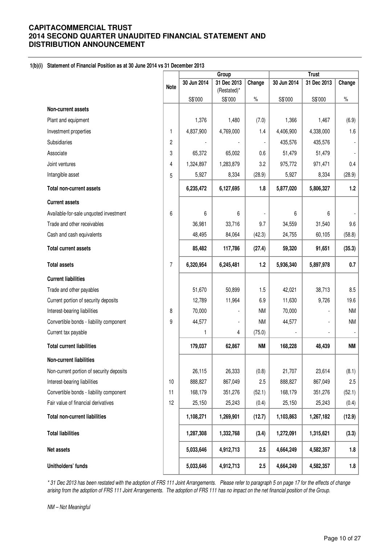### **1(b)(i) Statement of Financial Position as at 30 June 2014 vs 31 December 2013**

|                                          |             | Group       |                            |           |             | <b>Trust</b> |                |  |
|------------------------------------------|-------------|-------------|----------------------------|-----------|-------------|--------------|----------------|--|
|                                          | <b>Note</b> | 30 Jun 2014 | 31 Dec 2013<br>(Restated)* | Change    | 30 Jun 2014 | 31 Dec 2013  | Change         |  |
|                                          |             | S\$'000     | S\$'000                    | $\%$      | S\$'000     | S\$'000      | $\%$           |  |
| <b>Non-current assets</b>                |             |             |                            |           |             |              |                |  |
| Plant and equipment                      |             | 1,376       | 1,480                      | (7.0)     | 1,366       | 1,467        | (6.9)          |  |
| Investment properties                    | 1           | 4,837,900   | 4,769,000                  | 1.4       | 4,406,900   | 4,338,000    | 1.6            |  |
| Subsidiaries                             | 2           |             |                            | ÷,        | 435,576     | 435,576      |                |  |
| Associate                                | 3           | 65,372      | 65,002                     | 0.6       | 51,479      | 51,479       | $\blacksquare$ |  |
| Joint ventures                           | 4           | 1,324,897   | 1,283,879                  | 3.2       | 975,772     | 971,471      | 0.4            |  |
| Intangible asset                         | 5           | 5,927       | 8,334                      | (28.9)    | 5,927       | 8,334        | (28.9)         |  |
| <b>Total non-current assets</b>          |             | 6,235,472   | 6,127,695                  | 1.8       | 5,877,020   | 5,806,327    | 1.2            |  |
| <b>Current assets</b>                    |             |             |                            |           |             |              |                |  |
| Available-for-sale unquoted investment   | 6           | 6           | 6                          |           | 6           | 6            |                |  |
| Trade and other receivables              |             | 36,981      | 33,716                     | 9.7       | 34,559      | 31,540       | 9.6            |  |
| Cash and cash equivalents                |             | 48,495      | 84,064                     | (42.3)    | 24,755      | 60,105       | (58.8)         |  |
| <b>Total current assets</b>              |             | 85,482      | 117,786                    | (27.4)    | 59,320      | 91,651       | (35.3)         |  |
| <b>Total assets</b>                      | 7           | 6,320,954   | 6,245,481                  | 1.2       | 5,936,340   | 5,897,978    | 0.7            |  |
| <b>Current liabilities</b>               |             |             |                            |           |             |              |                |  |
| Trade and other payables                 |             | 51,670      | 50,899                     | 1.5       | 42,021      | 38,713       | 8.5            |  |
| Current portion of security deposits     |             | 12,789      | 11,964                     | 6.9       | 11,630      | 9,726        | 19.6           |  |
| Interest-bearing liabilities             | 8           | 70,000      |                            | <b>NM</b> | 70,000      |              | <b>NM</b>      |  |
| Convertible bonds - liability component  | 9           | 44,577      |                            | <b>NM</b> | 44,577      |              | <b>NM</b>      |  |
| Current tax payable                      |             | 1           | 4                          | (75.0)    |             |              |                |  |
| <b>Total current liabilities</b>         |             | 179,037     | 62,867                     | <b>NM</b> | 168,228     | 48,439       | <b>NM</b>      |  |
| Non-current liabilities                  |             |             |                            |           |             |              |                |  |
| Non-current portion of security deposits |             | 26,115      | 26,333                     | (0.8)     | 21,707      | 23,614       | (8.1)          |  |
| Interest-bearing liabilities             | 10          | 888,827     | 867,049                    | 2.5       | 888,827     | 867,049      | 2.5            |  |
| Convertible bonds - liability component  | 11          | 168,179     | 351,276                    | (52.1)    | 168,179     | 351,276      | (52.1)         |  |
| Fair value of financial derivatives      | 12          | 25,150      | 25,243                     | (0.4)     | 25,150      | 25,243       | (0.4)          |  |
| <b>Total non-current liabilities</b>     |             | 1,108,271   | 1,269,901                  | (12.7)    | 1,103,863   | 1,267,182    | (12.9)         |  |
| <b>Total liabilities</b>                 |             | 1,287,308   | 1,332,768                  | (3.4)     | 1,272,091   | 1,315,621    | (3.3)          |  |
| Net assets                               |             | 5,033,646   | 4,912,713                  | 2.5       | 4,664,249   | 4,582,357    | 1.8            |  |
| Unitholders' funds                       |             | 5,033,646   | 4,912,713                  | 2.5       | 4,664,249   | 4,582,357    | 1.8            |  |

\* 31 Dec 2013 has been restated with the adoption of FRS 111 Joint Arrangements. Please refer to paragraph 5 on page 17 for the effects of change arising from the adoption of FRS 111 Joint Arrangements. The adoption of FRS 111 has no impact on the net financial position of the Group.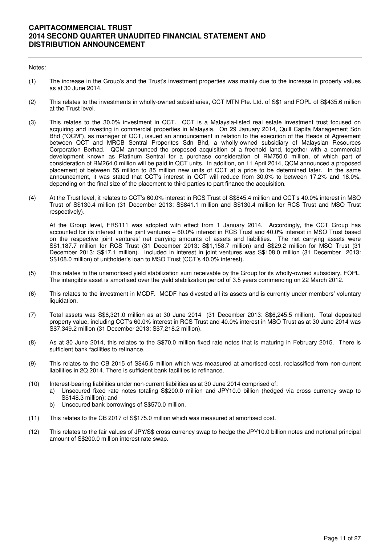### Notes:

- (1) The increase in the Group's and the Trust's investment properties was mainly due to the increase in property values as at 30 June 2014.
- (2) This relates to the investments in wholly-owned subsidiaries, CCT MTN Pte. Ltd. of S\$1 and FOPL of S\$435.6 million at the Trust level.
- (3) This relates to the 30.0% investment in QCT. QCT is a Malaysia-listed real estate investment trust focused on acquiring and investing in commercial properties in Malaysia. On 29 January 2014, Quill Capita Management Sdn Bhd ("QCM"), as manager of QCT, issued an announcement in relation to the execution of the Heads of Agreement between QCT and MRCB Sentral Properites Sdn Bhd, a wholly-owned subsidiary of Malaysian Resources Corporation Berhad. QCM announced the proposed acquisition of a freehold land, together with a commercial development known as Platinum Sentral for a purchase consideration of RM750.0 million, of which part of consideration of RM264.0 million will be paid in QCT units. In addition, on 11 April 2014, QCM announced a proposed placement of between 55 million to 85 million new units of QCT at a price to be determined later. In the same announcement, it was stated that CCT's interest in QCT will reduce from 30.0% to between 17.2% and 18.0%, depending on the final size of the placement to third parties to part finance the acquisition.
- (4) At the Trust level, it relates to CCT's 60.0% interest in RCS Trust of S\$845.4 million and CCT's 40.0% interest in MSO Trust of S\$130.4 million (31 December 2013: S\$841.1 million and S\$130.4 million for RCS Trust and MSO Trust respectively).

At the Group level, FRS111 was adopted with effect from 1 January 2014. Accordingly, the CCT Group has accounted for its interest in the joint ventures – 60.0% interest in RCS Trust and 40.0% interest in MSO Trust based on the respective joint ventures' net carrying amounts of assets and liabilities. The net carrying assets were S\$1,187.7 million for RCS Trust (31 December 2013: S\$1,158.7 million) and S\$29.2 million for MSO Trust (31 December 2013: S\$17.1 million). Included in interest in joint ventures was S\$108.0 million (31 December 2013: S\$108.0 million) of unitholder's loan to MSO Trust (CCT's 40.0% interest).

- (5) This relates to the unamortised yield stabilization sum receivable by the Group for its wholly-owned subsidiary, FOPL. The intangible asset is amortised over the yield stabilization period of 3.5 years commencing on 22 March 2012.
- (6) This relates to the investment in MCDF. MCDF has divested all its assets and is currently under members' voluntary liquidation.
- (7) Total assets was S\$6,321.0 million as at 30 June 2014 (31 December 2013: S\$6,245.5 million). Total deposited property value, including CCT's 60.0% interest in RCS Trust and 40.0% interest in MSO Trust as at 30 June 2014 was S\$7,349.2 million (31 December 2013: S\$7,218.2 million).
- (8) As at 30 June 2014, this relates to the S\$70.0 million fixed rate notes that is maturing in February 2015. There is sufficient bank facilities to refinance.
- (9) This relates to the CB 2015 of S\$45.5 million which was measured at amortised cost, reclassified from non-current liabilities in 2Q 2014. There is sufficient bank facilities to refinance.
- (10) Interest-bearing liabilities under non-current liabilities as at 30 June 2014 comprised of:
	- a) Unsecured fixed rate notes totaling S\$200.0 million and JPY10.0 billion (hedged via cross currency swap to S\$148.3 million); and
	- b) Unsecured bank borrowings of S\$570.0 million.
- (11) This relates to the CB 2017 of S\$175.0 million which was measured at amortised cost.
- (12) This relates to the fair values of JPY/S\$ cross currency swap to hedge the JPY10.0 billion notes and notional principal amount of S\$200.0 million interest rate swap.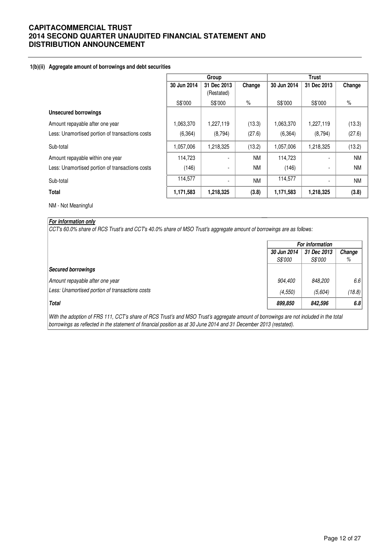### **1(b)(ii) Aggregate amount of borrowings and debt securities**

|                                                 |             | Group                    |           | <b>Trust</b> |             |           |  |
|-------------------------------------------------|-------------|--------------------------|-----------|--------------|-------------|-----------|--|
|                                                 | 30 Jun 2014 | 31 Dec 2013              | Change    | 30 Jun 2014  | 31 Dec 2013 | Change    |  |
|                                                 |             | (Restated)               |           |              |             |           |  |
|                                                 | S\$'000     | S\$'000                  | $\%$      | S\$'000      | S\$'000     | $\%$      |  |
| <b>Unsecured borrowings</b>                     |             |                          |           |              |             |           |  |
| Amount repayable after one year                 | 1,063,370   | 1,227,119                | (13.3)    | 1,063,370    | 1,227,119   | (13.3)    |  |
| Less: Unamortised portion of transactions costs | (6, 364)    | (8,794)                  | (27.6)    | (6, 364)     | (8,794)     | (27.6)    |  |
| Sub-total                                       | 1,057,006   | 1,218,325                | (13.2)    | 1,057,006    | 1,218,325   | (13.2)    |  |
| Amount repayable within one year                | 114,723     |                          | <b>NM</b> | 114,723      |             | <b>NM</b> |  |
| Less: Unamortised portion of transactions costs | (146)       | $\overline{\phantom{a}}$ | <b>NM</b> | (146)        |             | <b>NM</b> |  |
| Sub-total                                       | 114,577     | $\blacksquare$           | <b>NM</b> | 114,577      |             | <b>NM</b> |  |
| <b>Total</b>                                    | 1,171,583   | 1,218,325                | (3.8)     | 1,171,583    | 1,218,325   | (3.8)     |  |

NM - Not Meaningful

### **For information only**

CCT's 60.0% share of RCS Trust's and CCT's 40.0% share of MSO Trust's aggregate amount of borrowings are as follows:

|                                                 | For information               |                               |             |  |  |
|-------------------------------------------------|-------------------------------|-------------------------------|-------------|--|--|
|                                                 | 30 Jun 2014<br><i>S\$'000</i> | 31 Dec 2013<br><i>S\$'000</i> | Change<br>% |  |  |
| <b>Secured borrowings</b>                       |                               |                               |             |  |  |
| Amount repayable after one year                 | 904,400                       | 848,200                       | 6.6         |  |  |
| Less: Unamortised portion of transactions costs | (4, 550)                      | (5,604)                       | (18.8)      |  |  |
| <b>Total</b>                                    | 899,850                       | 842,596                       | 6.8         |  |  |

With the adoption of FRS 111, CCT's share of RCS Trust's and MSO Trust's aggregate amount of borrowings are not included in the total borrowings as reflected in the statement of financial position as at 30 June 2014 and 31 December 2013 (restated).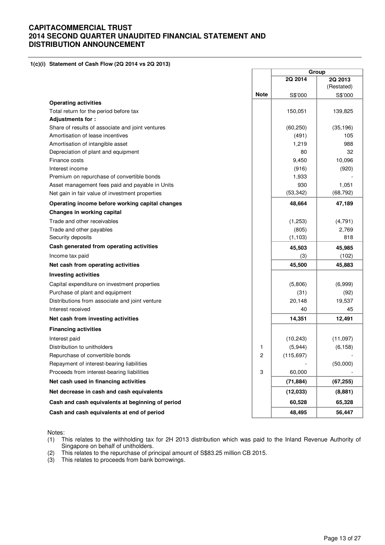**1(c)(i) Statement of Cash Flow (2Q 2014 vs 2Q 2013)** 

|                                                  |             | Group      |            |
|--------------------------------------------------|-------------|------------|------------|
|                                                  |             | 2Q 2014    | 2Q 2013    |
|                                                  |             |            | (Restated) |
|                                                  | <b>Note</b> | S\$'000    | S\$'000    |
| <b>Operating activities</b>                      |             |            |            |
| Total return for the period before tax           |             | 150,051    | 139,825    |
| Adjustments for:                                 |             |            |            |
| Share of results of associate and joint ventures |             | (60, 250)  | (35, 196)  |
| Amortisation of lease incentives                 |             | (491)      | 105        |
| Amortisation of intangible asset                 |             | 1,219      | 988        |
| Depreciation of plant and equipment              |             | 80         | 32         |
| Finance costs                                    |             | 9,450      | 10,096     |
| Interest income                                  |             | (916)      | (920)      |
| Premium on repurchase of convertible bonds       |             | 1,933      |            |
| Asset management fees paid and payable in Units  |             | 930        | 1,051      |
| Net gain in fair value of investment properties  |             | (53, 342)  | (68, 792)  |
| Operating income before working capital changes  |             | 48,664     | 47,189     |
| Changes in working capital                       |             |            |            |
| Trade and other receivables                      |             | (1,253)    | (4,791)    |
| Trade and other payables                         |             | (805)      | 2,769      |
| Security deposits                                |             | (1, 103)   | 818        |
| Cash generated from operating activities         |             | 45,503     | 45,985     |
| Income tax paid                                  |             | (3)        | (102)      |
| Net cash from operating activities               |             | 45,500     | 45,883     |
| <b>Investing activities</b>                      |             |            |            |
| Capital expenditure on investment properties     |             | (5,806)    | (6,999)    |
| Purchase of plant and equipment                  |             | (31)       | (92)       |
| Distributions from associate and joint venture   |             | 20,148     | 19,537     |
| Interest received                                |             | 40         | 45         |
| Net cash from investing activities               |             | 14,351     | 12,491     |
| <b>Financing activities</b>                      |             |            |            |
| Interest paid                                    |             | (10, 243)  | (11,097)   |
| Distribution to unitholders                      | 1           | (5,944)    | (6, 158)   |
| Repurchase of convertible bonds                  | 2           | (115, 697) |            |
| Repayment of interest-bearing liabilities        |             |            | (50,000)   |
| Proceeds from interest-bearing liabilities       | 3           | 60,000     |            |
| Net cash used in financing activities            |             | (71, 884)  | (67, 255)  |
| Net decrease in cash and cash equivalents        |             | (12,033)   | (8,881)    |
| Cash and cash equivalents at beginning of period |             | 60,528     | 65,328     |
| Cash and cash equivalents at end of period       |             | 48,495     | 56,447     |

Notes:

- (1) This relates to the withholding tax for 2H 2013 distribution which was paid to the Inland Revenue Authority of Singapore on behalf of unitholders.
- (2) This relates to the repurchase of principal amount of S\$83.25 million CB 2015.
- (3) This relates to proceeds from bank borrowings.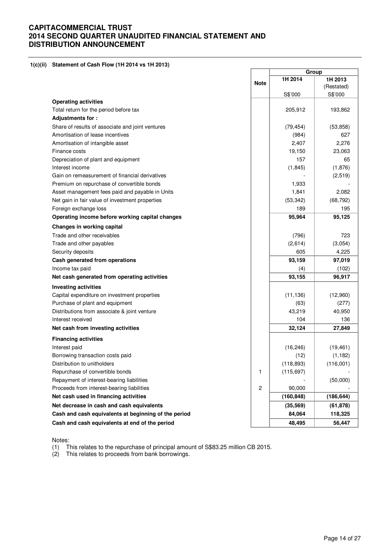### **1(c)(ii) Statement of Cash Flow (1H 2014 vs 1H 2013)**

|                                                      |              | Group      |            |
|------------------------------------------------------|--------------|------------|------------|
|                                                      |              | 1H 2014    | 1H 2013    |
|                                                      | <b>Note</b>  |            | (Restated) |
|                                                      |              | S\$'000    | S\$'000    |
| <b>Operating activities</b>                          |              |            |            |
| Total return for the period before tax               |              | 205,912    | 193,862    |
| Adjustments for:                                     |              |            |            |
| Share of results of associate and joint ventures     |              | (79, 454)  | (53, 858)  |
| Amortisation of lease incentives                     |              | (984)      | 627        |
| Amortisation of intangible asset                     |              | 2,407      | 2,276      |
| Finance costs                                        |              | 19,150     | 23,063     |
| Depreciation of plant and equipment                  |              | 157        | 65         |
| Interest income                                      |              | (1, 845)   | (1,876)    |
| Gain on remeasurement of financial derivatives       |              |            | (2,519)    |
| Premium on repurchase of convertible bonds           |              | 1,933      |            |
| Asset management fees paid and payable in Units      |              | 1,841      | 2,082      |
| Net gain in fair value of investment properties      |              | (53, 342)  | (68, 792)  |
| Foreign exchange loss                                |              | 189        | 195        |
| Operating income before working capital changes      |              | 95,964     | 95,125     |
| Changes in working capital                           |              |            |            |
| Trade and other receivables                          |              | (796)      | 723        |
| Trade and other payables                             |              | (2,614)    | (3,054)    |
| Security deposits                                    |              | 605        | 4,225      |
| Cash generated from operations                       |              | 93,159     | 97,019     |
| Income tax paid                                      |              | (4)        | (102)      |
| Net cash generated from operating activities         |              | 93,155     | 96,917     |
| <b>Investing activities</b>                          |              |            |            |
| Capital expenditure on investment properties         |              | (11, 136)  | (12,960)   |
| Purchase of plant and equipment                      |              | (63)       | (277)      |
| Distributions from associate & joint venture         |              | 43,219     | 40,950     |
| Interest received                                    |              | 104        | 136        |
| Net cash from investing activities                   |              | 32,124     | 27,849     |
| <b>Financing activities</b>                          |              |            |            |
| Interest paid                                        |              | (16, 246)  | (19, 461)  |
| Borrowing transaction costs paid                     |              | (12)       | (1, 182)   |
| Distribution to unitholders                          |              | (118, 893) | (116,001)  |
| Repurchase of convertible bonds                      | 1            | (115, 697) |            |
| Repayment of interest-bearing liabilities            |              |            | (50,000)   |
| Proceeds from interest-bearing liabilities           | $\mathbf{2}$ | 90,000     |            |
| Net cash used in financing activities                |              | (160, 848) | (186, 644) |
| Net decrease in cash and cash equivalents            |              | (35, 569)  | (61, 878)  |
| Cash and cash equivalents at beginning of the period |              | 84,064     | 118,325    |
| Cash and cash equivalents at end of the period       |              | 48,495     | 56,447     |
|                                                      |              |            |            |

Notes:

(1) This relates to the repurchase of principal amount of S\$83.25 million CB 2015.

(2) This relates to proceeds from bank borrowings.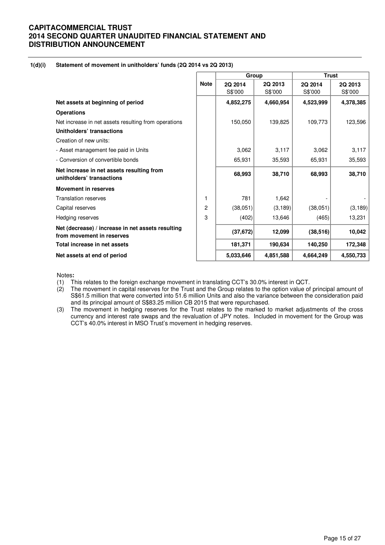#### **1(d)(i) Statement of movement in unitholders' funds (2Q 2014 vs 2Q 2013)**

|                                                                                |             | Group              |                    | <b>Trust</b>       |                    |  |
|--------------------------------------------------------------------------------|-------------|--------------------|--------------------|--------------------|--------------------|--|
|                                                                                | <b>Note</b> | 2Q 2014<br>S\$'000 | 2Q 2013<br>S\$'000 | 2Q 2014<br>S\$'000 | 2Q 2013<br>S\$'000 |  |
| Net assets at beginning of period                                              |             | 4,852,275          | 4,660,954          | 4,523,999          | 4,378,385          |  |
| <b>Operations</b>                                                              |             |                    |                    |                    |                    |  |
| Net increase in net assets resulting from operations                           |             | 150,050            | 139,825            | 109,773            | 123,596            |  |
| Unitholders' transactions                                                      |             |                    |                    |                    |                    |  |
| Creation of new units:                                                         |             |                    |                    |                    |                    |  |
| - Asset management fee paid in Units                                           |             | 3,062              | 3,117              | 3,062              | 3,117              |  |
| - Conversion of convertible bonds                                              |             | 65,931             | 35,593             | 65,931             | 35,593             |  |
| Net increase in net assets resulting from<br>unitholders' transactions         |             | 68,993             | 38,710             | 68,993             | 38,710             |  |
| <b>Movement in reserves</b>                                                    |             |                    |                    |                    |                    |  |
| <b>Translation reserves</b>                                                    | 1           | 781                | 1,642              |                    |                    |  |
| Capital reserves                                                               | 2           | (38,051)           | (3, 189)           | (38,051)           | (3, 189)           |  |
| Hedging reserves                                                               | 3           | (402)              | 13,646             | (465)              | 13,231             |  |
| Net (decrease) / increase in net assets resulting<br>from movement in reserves |             | (37, 672)          | 12,099             | (38, 516)          | 10,042             |  |
| Total increase in net assets                                                   |             | 181,371            | 190,634            | 140,250            | 172,348            |  |
| Net assets at end of period                                                    |             | 5,033,646          | 4,851,588          | 4,664,249          | 4,550,733          |  |

Notes**:** 

- (1) This relates to the foreign exchange movement in translating CCT's 30.0% interest in QCT.<br>(2) The movement in capital reserves for the Trust and the Group relates to the option value of
- The movement in capital reserves for the Trust and the Group relates to the option value of principal amount of S\$61.5 million that were converted into 51.6 million Units and also the variance between the consideration paid and its principal amount of S\$83.25 million CB 2015 that were repurchased.
- (3) The movement in hedging reserves for the Trust relates to the marked to market adjustments of the cross currency and interest rate swaps and the revaluation of JPY notes. Included in movement for the Group was CCT's 40.0% interest in MSO Trust's movement in hedging reserves.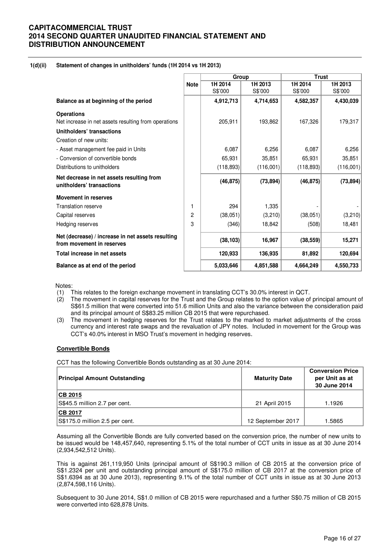### **1(d)(ii) Statement of changes in unitholders' funds (1H 2014 vs 1H 2013)**

|                                                                                |             | Group              |                    | <b>Trust</b>       |                    |
|--------------------------------------------------------------------------------|-------------|--------------------|--------------------|--------------------|--------------------|
|                                                                                | <b>Note</b> | 1H 2014<br>S\$'000 | 1H 2013<br>S\$'000 | 1H 2014<br>S\$'000 | 1H 2013<br>S\$'000 |
| Balance as at beginning of the period                                          |             | 4,912,713          | 4,714,653          | 4,582,357          | 4,430,039          |
| <b>Operations</b>                                                              |             |                    |                    |                    |                    |
| Net increase in net assets resulting from operations                           |             | 205,911            | 193,862            | 167,326            | 179,317            |
| Unitholders' transactions                                                      |             |                    |                    |                    |                    |
| Creation of new units:                                                         |             |                    |                    |                    |                    |
| - Asset management fee paid in Units                                           |             | 6,087              | 6,256              | 6,087              | 6,256              |
| - Conversion of convertible bonds                                              |             | 65,931             | 35,851             | 65,931             | 35,851             |
| Distributions to unitholders                                                   |             | (118, 893)         | (116,001)          | (118, 893)         | (116,001)          |
| Net decrease in net assets resulting from<br>unitholders' transactions         |             | (46, 875)          | (73, 894)          | (46, 875)          | (73, 894)          |
| <b>Movement in reserves</b>                                                    |             |                    |                    |                    |                    |
| <b>Translation reserve</b>                                                     | 1           | 294                | 1,335              |                    |                    |
| Capital reserves                                                               | 2           | (38,051)           | (3,210)            | (38,051)           | (3,210)            |
| Hedging reserves                                                               | 3           | (346)              | 18,842             | (508)              | 18,481             |
| Net (decrease) / increase in net assets resulting<br>from movement in reserves |             | (38, 103)          | 16,967             | (38, 559)          | 15,271             |
| Total increase in net assets                                                   |             | 120,933            | 136,935            | 81,892             | 120,694            |
| Balance as at end of the period                                                |             | 5,033,646          | 4,851,588          | 4,664,249          | 4,550,733          |

Notes:

(1) This relates to the foreign exchange movement in translating CCT's 30.0% interest in QCT.

- (2) The movement in capital reserves for the Trust and the Group relates to the option value of principal amount of S\$61.5 million that were converted into 51.6 million Units and also the variance between the consideration paid and its principal amount of S\$83.25 million CB 2015 that were repurchased.
- (3) The movement in hedging reserves for the Trust relates to the marked to market adjustments of the cross currency and interest rate swaps and the revaluation of JPY notes. Included in movement for the Group was CCT's 40.0% interest in MSO Trust's movement in hedging reserves.

### **Convertible Bonds**

CCT has the following Convertible Bonds outstanding as at 30 June 2014:

| Principal Amount Outstanding   | <b>Maturity Date</b> | <b>Conversion Price</b><br>per Unit as at<br>30 June 2014 |
|--------------------------------|----------------------|-----------------------------------------------------------|
| CB 2015                        |                      |                                                           |
| S\$45.5 million 2.7 per cent.  | 21 April 2015        | 1.1926                                                    |
| <b>CB 2017</b>                 |                      |                                                           |
| S\$175.0 million 2.5 per cent. | 12 September 2017    | 1.5865                                                    |

Assuming all the Convertible Bonds are fully converted based on the conversion price, the number of new units to be issued would be 148,457,640, representing 5.1% of the total number of CCT units in issue as at 30 June 2014 (2,934,542,512 Units).

This is against 261,119,950 Units (principal amount of S\$190.3 million of CB 2015 at the conversion price of S\$1.2324 per unit and outstanding principal amount of S\$175.0 million of CB 2017 at the conversion price of S\$1.6394 as at 30 June 2013), representing 9.1% of the total number of CCT units in issue as at 30 June 2013 (2,874,598,116 Units).

Subsequent to 30 June 2014, S\$1.0 million of CB 2015 were repurchased and a further S\$0.75 million of CB 2015 were converted into 628,878 Units.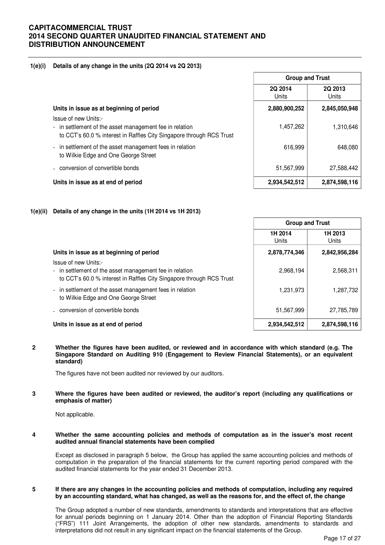### **1(e)(i) Details of any change in the units (2Q 2014 vs 2Q 2013)**

|                                                                                                                                                         | <b>Group and Trust</b> |                  |
|---------------------------------------------------------------------------------------------------------------------------------------------------------|------------------------|------------------|
|                                                                                                                                                         | 2Q 2014<br>Units       | 2Q 2013<br>Units |
| Units in issue as at beginning of period                                                                                                                | 2,880,900,252          | 2,845,050,948    |
| Issue of new Units:-<br>- in settlement of the asset management fee in relation<br>to CCT's 60.0 % interest in Raffles City Singapore through RCS Trust | 1,457,262              | 1,310,646        |
| in settlement of the asset management fees in relation<br>$\blacksquare$<br>to Wilkie Edge and One George Street                                        | 616,999                | 648.080          |
| - conversion of convertible bonds                                                                                                                       | 51,567,999             | 27,588,442       |
| Units in issue as at end of period                                                                                                                      | 2,934,542,512          | 2,874,598,116    |

### **1(e)(ii) Details of any change in the units (1H 2014 vs 1H 2013)**

|                                                                                                                                                         | <b>Group and Trust</b> |                  |
|---------------------------------------------------------------------------------------------------------------------------------------------------------|------------------------|------------------|
|                                                                                                                                                         | 1H 2014<br>Units       | 1H 2013<br>Units |
| Units in issue as at beginning of period                                                                                                                | 2,878,774,346          | 2,842,956,284    |
| Issue of new Units:-<br>- in settlement of the asset management fee in relation<br>to CCT's 60.0 % interest in Raffles City Singapore through RCS Trust | 2,968,194              | 2,568,311        |
| - in settlement of the asset management fees in relation<br>to Wilkie Edge and One George Street                                                        | 1,231,973              | 1,287,732        |
| - conversion of convertible bonds                                                                                                                       | 51,567,999             | 27,785,789       |
| Units in issue as at end of period                                                                                                                      | 2,934,542,512          | 2,874,598,116    |

**2 Whether the figures have been audited, or reviewed and in accordance with which standard (e.g. The Singapore Standard on Auditing 910 (Engagement to Review Financial Statements), or an equivalent standard)** 

The figures have not been audited nor reviewed by our auditors.

**3 Where the figures have been audited or reviewed, the auditor's report (including any qualifications or emphasis of matter)** 

Not applicable.

**4 Whether the same accounting policies and methods of computation as in the issuer's most recent audited annual financial statements have been complied** 

Except as disclosed in paragraph 5 below, the Group has applied the same accounting policies and methods of computation in the preparation of the financial statements for the current reporting period compared with the audited financial statements for the year ended 31 December 2013.

#### **5 If there are any changes in the accounting policies and methods of computation, including any required by an accounting standard, what has changed, as well as the reasons for, and the effect of, the change**

The Group adopted a number of new standards, amendments to standards and interpretations that are effective for annual periods beginning on 1 January 2014. Other than the adoption of Financial Reporting Standards ("FRS") 111 Joint Arrangements, the adoption of other new standards, amendments to standards and interpretations did not result in any significant impact on the financial statements of the Group.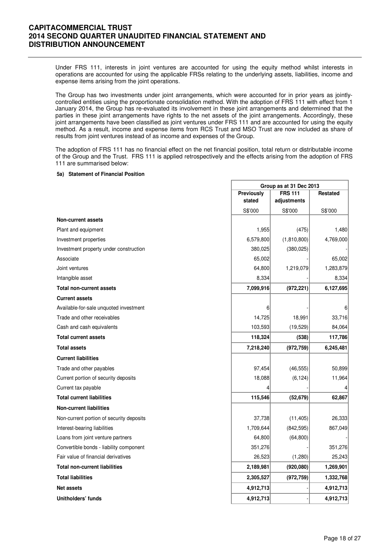Under FRS 111, interests in joint ventures are accounted for using the equity method whilst interests in operations are accounted for using the applicable FRSs relating to the underlying assets, liabilities, income and expense items arising from the joint operations.

The Group has two investments under joint arrangements, which were accounted for in prior years as jointlycontrolled entities using the proportionate consolidation method. With the adoption of FRS 111 with effect from 1 January 2014, the Group has re-evaluated its involvement in these joint arrangements and determined that the parties in these joint arrangements have rights to the net assets of the joint arrangements. Accordingly, these joint arrangements have been classified as joint ventures under FRS 111 and are accounted for using the equity method. As a result, income and expense items from RCS Trust and MSO Trust are now included as share of results from joint ventures instead of as income and expenses of the Group.

The adoption of FRS 111 has no financial effect on the net financial position, total return or distributable income of the Group and the Trust. FRS 111 is applied retrospectively and the effects arising from the adoption of FRS 111 are summarised below:

#### **5a) Statement of Financial Position**

|                                          |            | Group as at 31 Dec 2013 |           |  |
|------------------------------------------|------------|-------------------------|-----------|--|
|                                          | Previously | <b>FRS 111</b>          | Restated  |  |
|                                          | stated     | adjustments             |           |  |
|                                          | S\$'000    | S\$'000                 | S\$'000   |  |
| <b>Non-current assets</b>                |            |                         |           |  |
| Plant and equipment                      | 1,955      | (475)                   | 1,480     |  |
| Investment properties                    | 6,579,800  | (1,810,800)             | 4,769,000 |  |
| Investment property under construction   | 380,025    | (380, 025)              |           |  |
| Associate                                | 65,002     |                         | 65,002    |  |
| Joint ventures                           | 64,800     | 1,219,079               | 1,283,879 |  |
| Intangible asset                         | 8,334      |                         | 8,334     |  |
| <b>Total non-current assets</b>          | 7,099,916  | (972, 221)              | 6,127,695 |  |
| <b>Current assets</b>                    |            |                         |           |  |
| Available-for-sale unquoted investment   | 6          |                         | 6         |  |
| Trade and other receivables              | 14,725     | 18,991                  | 33,716    |  |
| Cash and cash equivalents                | 103,593    | (19, 529)               | 84,064    |  |
| <b>Total current assets</b>              | 118,324    | (538)                   | 117,786   |  |
| <b>Total assets</b>                      | 7,218,240  | (972, 759)              | 6,245,481 |  |
| <b>Current liabilities</b>               |            |                         |           |  |
| Trade and other payables                 | 97,454     | (46, 555)               | 50,899    |  |
| Current portion of security deposits     | 18,088     | (6, 124)                | 11,964    |  |
| Current tax payable                      |            |                         |           |  |
| <b>Total current liabilities</b>         | 115,546    | (52, 679)               | 62,867    |  |
| <b>Non-current liabilities</b>           |            |                         |           |  |
| Non-current portion of security deposits | 37,738     | (11, 405)               | 26,333    |  |
| Interest-bearing liabilities             | 1,709,644  | (842, 595)              | 867,049   |  |
| Loans from joint venture partners        | 64,800     | (64, 800)               |           |  |
| Convertible bonds - liability component  | 351,276    |                         | 351,276   |  |
| Fair value of financial derivatives      | 26,523     | (1,280)                 | 25,243    |  |
| <b>Total non-current liabilities</b>     | 2,189,981  | (920,080)               | 1,269,901 |  |
| <b>Total liabilities</b>                 | 2,305,527  | (972, 759)              | 1,332,768 |  |
| <b>Net assets</b>                        | 4,912,713  |                         | 4,912,713 |  |
| Unitholders' funds                       | 4,912,713  |                         | 4,912,713 |  |

٦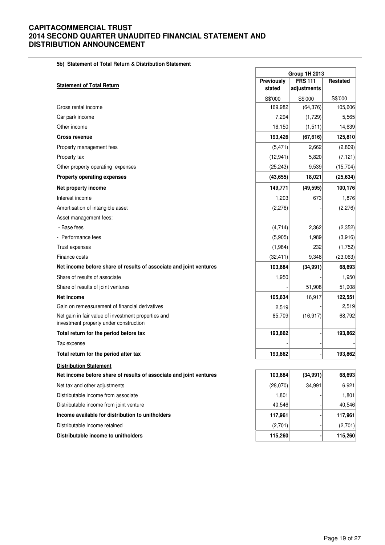|  |  | 5b) Statement of Total Return & Distribution Statement |  |  |
|--|--|--------------------------------------------------------|--|--|
|--|--|--------------------------------------------------------|--|--|

| 5b) Statement of Total Return & Distribution Statement                                        |            | <b>Group 1H 2013</b> |                 |
|-----------------------------------------------------------------------------------------------|------------|----------------------|-----------------|
|                                                                                               | Previously | <b>FRS 111</b>       | <b>Restated</b> |
| <b>Statement of Total Return</b>                                                              | stated     | adjustments          |                 |
|                                                                                               | S\$'000    | S\$'000              | S\$'000         |
| Gross rental income                                                                           | 169,982    | (64, 376)            | 105,606         |
| Car park income                                                                               | 7,294      | (1,729)              | 5,565           |
| Other income                                                                                  | 16,150     | (1, 511)             | 14,639          |
| Gross revenue                                                                                 | 193,426    | (67, 616)            | 125,810         |
| Property management fees                                                                      | (5, 471)   | 2,662                | (2,809)         |
| Property tax                                                                                  | (12, 941)  | 5,820                | (7, 121)        |
| Other property operating expenses                                                             | (25, 243)  | 9,539                | (15, 704)       |
| <b>Property operating expenses</b>                                                            | (43, 655)  | 18,021               | (25, 634)       |
| Net property income                                                                           | 149,771    | (49, 595)            | 100,176         |
| Interest income                                                                               | 1,203      | 673                  | 1,876           |
| Amortisation of intangible asset                                                              | (2, 276)   |                      | (2, 276)        |
| Asset management fees:                                                                        |            |                      |                 |
| - Base fees                                                                                   | (4,714)    | 2,362                | (2, 352)        |
| - Performance fees                                                                            | (5,905)    | 1,989                | (3,916)         |
| Trust expenses                                                                                | (1,984)    | 232                  | (1,752)         |
| Finance costs                                                                                 | (32, 411)  | 9,348                | (23,063)        |
| Net income before share of results of associate and joint ventures                            | 103,684    | (34, 991)            | 68,693          |
| Share of results of associate                                                                 | 1,950      |                      | 1,950           |
| Share of results of joint ventures                                                            |            | 51,908               | 51,908          |
| Net income                                                                                    | 105,634    | 16,917               | 122,551         |
| Gain on remeasurement of financial derivatives                                                | 2,519      |                      | 2,519           |
| Net gain in fair value of investment properties and<br>investment property under construction | 85,709     | (16, 917)            | 68,792          |
| Total return for the period before tax                                                        | 193,862    |                      | 193,862         |
| Tax expense                                                                                   |            |                      |                 |
| Total return for the period after tax                                                         | 193,862    |                      | 193,862         |
| <b>Distribution Statement</b>                                                                 |            |                      |                 |
| Net income before share of results of associate and joint ventures                            | 103,684    | (34, 991)            | 68,693          |
| Net tax and other adjustments                                                                 | (28,070)   | 34,991               | 6,921           |
| Distributable income from associate                                                           | 1,801      |                      | 1,801           |
| Distributable income from joint venture                                                       | 40,546     |                      | 40,546          |
| Income available for distribution to unitholders                                              | 117,961    |                      | 117,961         |
| Distributable income retained                                                                 | (2,701)    |                      | (2,701)         |
| Distributable income to unitholders                                                           | 115,260    |                      | 115,260         |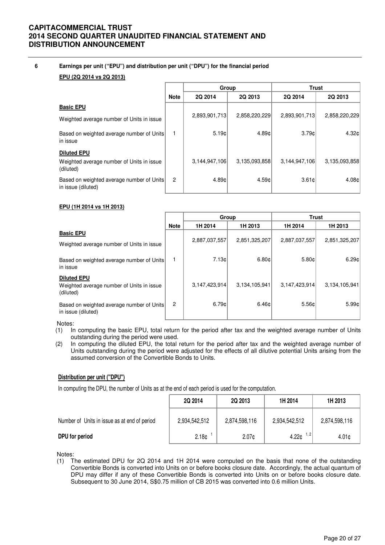### **6 Earnings per unit ("EPU") and distribution per unit ("DPU") for the financial period**

### **EPU (2Q 2014 vs 2Q 2013)**

|                                                                 |                | Group         |               |               | <b>Trust</b>      |
|-----------------------------------------------------------------|----------------|---------------|---------------|---------------|-------------------|
|                                                                 | <b>Note</b>    | 2Q 2014       | 2Q 2013       | 2Q 2014       | 2Q 2013           |
| <b>Basic EPU</b>                                                |                |               |               |               |                   |
| Weighted average number of Units in issue                       |                | 2,893,901,713 | 2,858,220,229 | 2,893,901,713 | 2,858,220,229     |
| Based on weighted average number of Units<br>in issue           |                | 5.19c         | 4.89c         | 3.79c         | 4.32c             |
| <b>Diluted EPU</b>                                              |                |               |               |               |                   |
| Weighted average number of Units in issue<br>(diluted)          |                | 3,144,947,106 | 3,135,093,858 | 3,144,947,106 | 3,135,093,858     |
| Based on weighted average number of Units<br>in issue (diluted) | $\overline{2}$ | 4.89c         | 4.59c         | 3.61c         | 4.08 <sub>c</sub> |

### **EPU (1H 2014 vs 1H 2013)**

|                                                                              |                | Group         |               | <b>Trust</b>  |               |
|------------------------------------------------------------------------------|----------------|---------------|---------------|---------------|---------------|
|                                                                              | <b>Note</b>    | 1H 2014       | 1H 2013       | 1H 2014       | 1H 2013       |
| <b>Basic EPU</b><br>Weighted average number of Units in issue                |                | 2,887,037,557 | 2,851,325,207 | 2,887,037,557 | 2,851,325,207 |
| Based on weighted average number of Units<br>in issue                        |                | 7.13c         | 6.80c         | 5.80c         | 6.29c         |
| <b>Diluted EPU</b><br>Weighted average number of Units in issue<br>(diluted) |                | 3,147,423,914 | 3,134,105,941 | 3,147,423,914 | 3,134,105,941 |
| Based on weighted average number of Units<br>in issue (diluted)              | $\overline{c}$ | 6.79c         | 6.46c         | 5.56c         | 5.99¢         |

Notes:

- (1) In computing the basic EPU, total return for the period after tax and the weighted average number of Units outstanding during the period were used.
- (2) In computing the diluted EPU, the total return for the period after tax and the weighted average number of Units outstanding during the period were adjusted for the effects of all dilutive potential Units arising from the assumed conversion of the Convertible Bonds to Units.

### **Distribution per unit ("DPU")**

In computing the DPU, the number of Units as at the end of each period is used for the computation.

|                                              | 2Q 2014           | 2Q 2013           | 1H 2014       | 1H 2013           |
|----------------------------------------------|-------------------|-------------------|---------------|-------------------|
| Number of Units in issue as at end of period | 2,934,542,512     | 2,874,598,116     | 2,934,542,512 | 2,874,598,116     |
| DPU for period                               | 2.18 <sub>¢</sub> | 2.07 <sub>c</sub> | 1, 2<br>4.22c | 4.01 <sub>0</sub> |

Notes:

(1) The estimated DPU for 2Q 2014 and 1H 2014 were computed on the basis that none of the outstanding Convertible Bonds is converted into Units on or before books closure date. Accordingly, the actual quantum of DPU may differ if any of these Convertible Bonds is converted into Units on or before books closure date. Subsequent to 30 June 2014, S\$0.75 million of CB 2015 was converted into 0.6 million Units.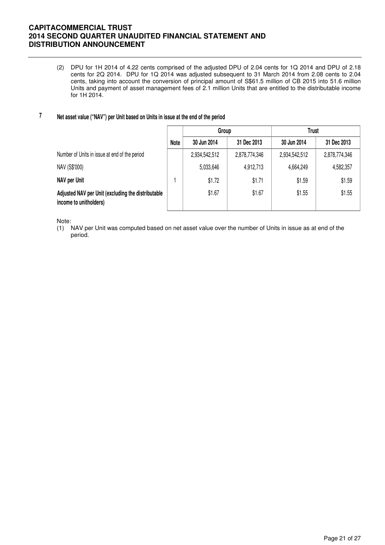(2) DPU for 1H 2014 of 4.22 cents comprised of the adjusted DPU of 2.04 cents for 1Q 2014 and DPU of 2.18 cents for 2Q 2014. DPU for 1Q 2014 was adjusted subsequent to 31 March 2014 from 2.08 cents to 2.04 cents, taking into account the conversion of principal amount of S\$61.5 million of CB 2015 into 51.6 million Units and payment of asset management fees of 2.1 million Units that are entitled to the distributable income for 1H 2014.

#### **7 Net asset value ("NAV") per Unit based on Units in issue at the end of the period**

|                                                                              |      | Group         |               | <b>Trust</b>  |               |
|------------------------------------------------------------------------------|------|---------------|---------------|---------------|---------------|
|                                                                              | Note | 30 Jun 2014   | 31 Dec 2013   | 30 Jun 2014   | 31 Dec 2013   |
| Number of Units in issue at end of the period                                |      | 2,934,542,512 | 2,878,774,346 | 2,934,542,512 | 2,878,774,346 |
| NAV (S\$'000)                                                                |      | 5,033,646     | 4,912,713     | 4,664,249     | 4,582,357     |
| NAV per Unit                                                                 |      | \$1.72        | \$1.71        | \$1.59        | \$1.59        |
| Adjusted NAV per Unit (excluding the distributable<br>income to unitholders) |      | \$1.67        | \$1.67        | \$1.55        | \$1.55        |

Note:

(1) NAV per Unit was computed based on net asset value over the number of Units in issue as at end of the period.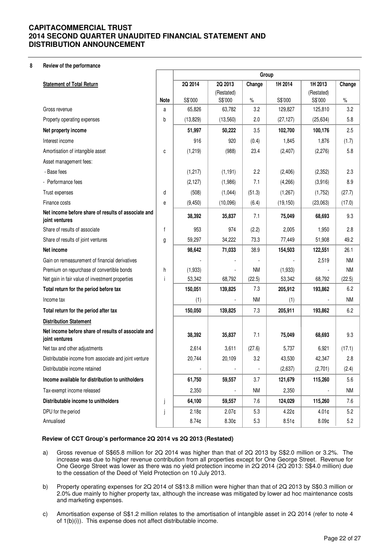#### **8 Review of the performance**

|                                                                       |              | Group             |                       |           |           |                       |           |
|-----------------------------------------------------------------------|--------------|-------------------|-----------------------|-----------|-----------|-----------------------|-----------|
| <b>Statement of Total Return</b>                                      |              | 2Q 2014           | 2Q 2013               | Change    | 1H 2014   | 1H 2013               | Change    |
|                                                                       | Note         | S\$'000           | (Restated)<br>S\$'000 | $\%$      | S\$'000   | (Restated)<br>S\$'000 | $\%$      |
| Gross revenue                                                         | a            | 65,826            | 63,782                | 3.2       | 129,827   | 125,810               | 3.2       |
| Property operating expenses                                           | b            | (13, 829)         | (13,560)              | 2.0       | (27, 127) | (25, 634)             | 5.8       |
| Net property income                                                   |              | 51,997            | 50,222                | 3.5       | 102,700   | 100,176               | 2.5       |
| Interest income                                                       |              | 916               | 920                   | (0.4)     | 1,845     | 1,876                 | (1.7)     |
| Amortisation of intangible asset                                      | C            | (1,219)           | (988)                 | 23.4      | (2, 407)  | (2,276)               | 5.8       |
| Asset management fees:                                                |              |                   |                       |           |           |                       |           |
| - Base fees                                                           |              | (1, 217)          | (1, 191)              | 2.2       | (2, 406)  | (2,352)               | 2.3       |
| - Performance fees                                                    |              | (2, 127)          | (1,986)               | 7.1       | (4,266)   | (3,916)               | 8.9       |
| Trust expenses                                                        | d            | (508)             | (1,044)               | (51.3)    | (1,267)   | (1,752)               | (27.7)    |
| Finance costs                                                         | е            | (9, 450)          | (10,096)              | (6.4)     | (19, 150) | (23,063)              | (17.0)    |
| Net income before share of results of associate and<br>joint ventures |              | 38,392            | 35,837                | 7.1       | 75,049    | 68,693                | 9.3       |
| Share of results of associate                                         | $\mathsf{f}$ | 953               | 974                   | (2.2)     | 2,005     | 1,950                 | 2.8       |
| Share of results of joint ventures                                    | g            | 59,297            | 34,222                | 73.3      | 77,449    | 51,908                | 49.2      |
| Net income                                                            |              | 98,642            | 71,033                | 38.9      | 154,503   | 122,551               | 26.1      |
| Gain on remeasurement of financial derivatives                        |              |                   |                       |           |           | 2,519                 | <b>NM</b> |
| Premium on repurchase of convertible bonds                            | h            | (1,933)           |                       | <b>NM</b> | (1,933)   |                       | <b>NM</b> |
| Net gain in fair value of investment properties                       | i            | 53,342            | 68,792                | (22.5)    | 53,342    | 68,792                | (22.5)    |
| Total return for the period before tax                                |              | 150,051           | 139,825               | 7.3       | 205,912   | 193,862               | 6.2       |
| Income tax                                                            |              | (1)               |                       | <b>NM</b> | (1)       |                       | <b>NM</b> |
| Total return for the period after tax                                 |              | 150,050           | 139,825               | 7.3       | 205,911   | 193,862               | 6.2       |
| <b>Distribution Statement</b>                                         |              |                   |                       |           |           |                       |           |
| Net income before share of results of associate and<br>joint ventures |              | 38,392            | 35,837                | 7.1       | 75,049    | 68,693                | 9.3       |
| Net tax and other adjustments                                         |              | 2,614             | 3,611                 | (27.6)    | 5,737     | 6,921                 | (17.1)    |
| Distributable income from associate and joint venture                 |              | 20,744            | 20,109                | 3.2       | 43,530    | 42,347                | 2.8       |
| Distributable income retained                                         |              |                   |                       |           | (2,637)   | (2,701)               | (2.4)     |
| Income available for distribution to unitholders                      |              | 61,750            | 59,557                | 3.7       | 121,679   | 115,260               | 5.6       |
| Tax-exempt income released                                            |              | 2,350             |                       | <b>NM</b> | 2,350     |                       | <b>NM</b> |
| Distributable income to unitholders                                   | j            | 64,100            | 59,557                | 7.6       | 124,029   | 115,260               | 7.6       |
| DPU for the period                                                    | j            | 2.18 <sub>¢</sub> | $2.07$ ¢              | 5.3       | 4.22¢     | 4.01 <sub>¢</sub>     | 5.2       |
| Annualised                                                            |              | 8.74 <sub>¢</sub> | 8.30¢                 | 5.3       | 8.51¢     | 8.09 <sub>¢</sub>     | 5.2       |

### **Review of CCT Group's performance 2Q 2014 vs 2Q 2013 (Restated)**

- a) Gross revenue of S\$65.8 million for 2Q 2014 was higher than that of 2Q 2013 by S\$2.0 million or 3.2%. The increase was due to higher revenue contribution from all properties except for One George Street. Revenue for One George Street was lower as there was no yield protection income in 2Q 2014 (2Q 2013: S\$4.0 million) due to the cessation of the Deed of Yield Protection on 10 July 2013.
- b) Property operating expenses for 2Q 2014 of S\$13.8 million were higher than that of 2Q 2013 by S\$0.3 million or 2.0% due mainly to higher property tax, although the increase was mitigated by lower ad hoc maintenance costs and marketing expenses.
- c) Amortisation expense of S\$1.2 million relates to the amortisation of intangible asset in 2Q 2014 (refer to note 4 of 1(b)(i)). This expense does not affect distributable income.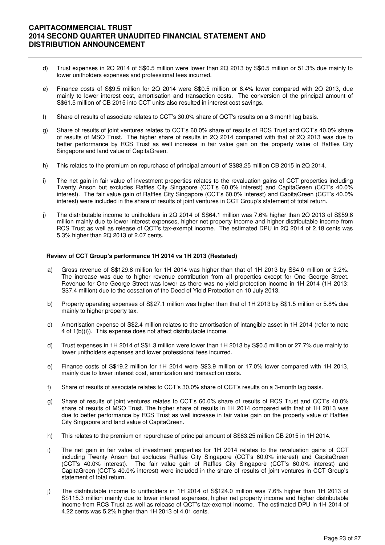- d) Trust expenses in 2Q 2014 of S\$0.5 million were lower than 2Q 2013 by S\$0.5 million or 51.3% due mainly to lower unitholders expenses and professional fees incurred.
- e) Finance costs of S\$9.5 million for 2Q 2014 were S\$0.5 million or 6.4% lower compared with 2Q 2013, due mainly to lower interest cost, amortisation and transaction costs. The conversion of the principal amount of S\$61.5 million of CB 2015 into CCT units also resulted in interest cost savings.
- f) Share of results of associate relates to CCT's 30.0% share of QCT's results on a 3-month lag basis.
- g) Share of results of joint ventures relates to CCT's 60.0% share of results of RCS Trust and CCT's 40.0% share of results of MSO Trust. The higher share of results in 2Q 2014 compared with that of 2Q 2013 was due to better performance by RCS Trust as well increase in fair value gain on the property value of Raffles City Singapore and land value of CapitaGreen.
- h) This relates to the premium on repurchase of principal amount of S\$83.25 million CB 2015 in 2Q 2014.
- i) The net gain in fair value of investment properties relates to the revaluation gains of CCT properties including Twenty Anson but excludes Raffles City Singapore (CCT's 60.0% interest) and CapitaGreen (CCT's 40.0% interest). The fair value gain of Raffles City Singapore (CCT's 60.0% interest) and CapitaGreen (CCT's 40.0% interest) were included in the share of results of joint ventures in CCT Group's statement of total return.
- j) The distributable income to unitholders in 2Q 2014 of S\$64.1 million was 7.6% higher than 2Q 2013 of S\$59.6 million mainly due to lower interest expenses, higher net property income and higher distributable income from RCS Trust as well as release of QCT's tax-exempt income. The estimated DPU in 2Q 2014 of 2.18 cents was 5.3% higher than 2Q 2013 of 2.07 cents.

### **Review of CCT Group's performance 1H 2014 vs 1H 2013 (Restated)**

- a) Gross revenue of S\$129.8 million for 1H 2014 was higher than that of 1H 2013 by S\$4.0 million or 3.2%. The increase was due to higher revenue contribution from all properties except for One George Street. Revenue for One George Street was lower as there was no yield protection income in 1H 2014 (1H 2013: S\$7.4 million) due to the cessation of the Deed of Yield Protection on 10 July 2013.
- b) Property operating expenses of S\$27.1 million was higher than that of 1H 2013 by S\$1.5 million or 5.8% due mainly to higher property tax.
- c) Amortisation expense of S\$2.4 million relates to the amortisation of intangible asset in 1H 2014 (refer to note 4 of 1(b)(i)). This expense does not affect distributable income.
- d) Trust expenses in 1H 2014 of S\$1.3 million were lower than 1H 2013 by S\$0.5 million or 27.7% due mainly to lower unitholders expenses and lower professional fees incurred.
- e) Finance costs of S\$19.2 million for 1H 2014 were S\$3.9 million or 17.0% lower compared with 1H 2013, mainly due to lower interest cost, amortization and transaction costs.
- f) Share of results of associate relates to CCT's 30.0% share of QCT's results on a 3-month lag basis.
- g) Share of results of joint ventures relates to CCT's 60.0% share of results of RCS Trust and CCT's 40.0% share of results of MSO Trust. The higher share of results in 1H 2014 compared with that of 1H 2013 was due to better performance by RCS Trust as well increase in fair value gain on the property value of Raffles City Singapore and land value of CapitaGreen.
- h) This relates to the premium on repurchase of principal amount of S\$83.25 million CB 2015 in 1H 2014.
- i) The net gain in fair value of investment properties for 1H 2014 relates to the revaluation gains of CCT including Twenty Anson but excludes Raffles City Singapore (CCT's 60.0% interest) and CapitaGreen (CCT's 40.0% interest). The fair value gain of Raffles City Singapore (CCT's 60.0% interest) and CapitaGreen (CCT's 40.0% interest) were included in the share of results of joint ventures in CCT Group's statement of total return.
- j) The distributable income to unitholders in 1H 2014 of S\$124.0 million was 7.6% higher than 1H 2013 of S\$115.3 million mainly due to lower interest expenses, higher net property income and higher distributable income from RCS Trust as well as release of QCT's tax-exempt income. The estimated DPU in 1H 2014 of 4.22 cents was 5.2% higher than 1H 2013 of 4.01 cents.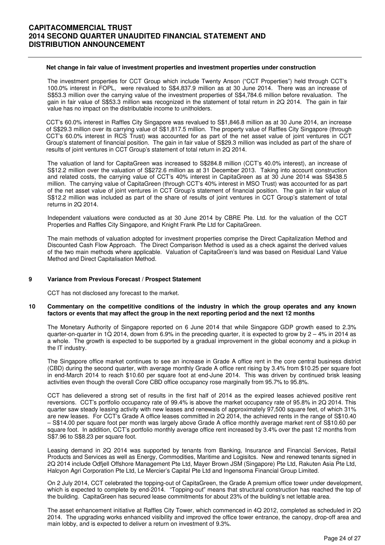#### **Net change in fair value of investment properties and investment properties under construction**

The investment properties for CCT Group which include Twenty Anson ("CCT Properties") held through CCT's 100.0% interest in FOPL, were revalued to S\$4,837.9 million as at 30 June 2014. There was an increase of S\$53.3 million over the carrying value of the investment properties of S\$4,784.6 million before revaluation. The gain in fair value of S\$53.3 million was recognized in the statement of total return in 2Q 2014. The gain in fair value has no impact on the distributable income to unitholders.

CCT's 60.0% interest in Raffles City Singapore was revalued to S\$1,846.8 million as at 30 June 2014, an increase of S\$29.3 million over its carrying value of S\$1,817.5 million. The property value of Raffles City Singapore (through CCT's 60.0% interest in RCS Trust) was accounted for as part of the net asset value of joint ventures in CCT Group's statement of financial position. The gain in fair value of S\$29.3 million was included as part of the share of results of joint ventures in CCT Group's statement of total return in 2Q 2014.

The valuation of land for CapitaGreen was increased to S\$284.8 million (CCT's 40.0% interest), an increase of S\$12.2 million over the valuation of S\$272.6 million as at 31 December 2013. Taking into account construction and related costs, the carrying value of CCT's 40% interest in CapitaGreen as at 30 June 2014 was S\$438.5 million. The carrying value of CapitaGreen (through CCT's 40% interest in MSO Trust) was accounted for as part of the net asset value of joint ventures in CCT Group's statement of financial position. The gain in fair value of S\$12.2 million was included as part of the share of results of joint ventures in CCT Group's statement of total returns in 2Q 2014.

Independent valuations were conducted as at 30 June 2014 by CBRE Pte. Ltd. for the valuation of the CCT Properties and Raffles City Singapore, and Knight Frank Pte Ltd for CapitaGreen.

The main methods of valuation adopted for investment properties comprise the Direct Capitalization Method and Discounted Cash Flow Approach. The Direct Comparison Method is used as a check against the derived values of the two main methods where applicable. Valuation of CapitaGreen's land was based on Residual Land Value Method and Direct Capitalisation Method.

#### **9 Variance from Previous Forecast / Prospect Statement**

CCT has not disclosed any forecast to the market.

#### **10 Commentary on the competitive conditions of the industry in which the group operates and any known factors or events that may affect the group in the next reporting period and the next 12 months**

The Monetary Authority of Singapore reported on 6 June 2014 that while Singapore GDP growth eased to 2.3% quarter-on-quarter in 1Q 2014, down from 6.9% in the preceding quarter, it is expected to grow by  $2 - 4\%$  in 2014 as a whole. The growth is expected to be supported by a gradual improvement in the global economy and a pickup in the IT industry.

The Singapore office market continues to see an increase in Grade A office rent in the core central business district (CBD) during the second quarter, with average monthly Grade A office rent rising by 3.4% from \$10.25 per square foot in end-March 2014 to reach \$10.60 per square foot at end-June 2014. This was driven by continued brisk leasing activities even though the overall Core CBD office occupancy rose marginally from 95.7% to 95.8%.

CCT has delievered a strong set of results in the first half of 2014 as the expired leases achieved positive rent reversions. CCT's portfolio occupancy rate of 99.4% is above the market occupancy rate of 95.8% in 2Q 2014. This quarter saw steady leasing activity with new leases and renewals of approximately 97,500 square feet, of which 31% are new leases. For CCT's Grade A office leases committed in 2Q 2014, the achieved rents in the range of S\$10.40 – S\$14.00 per square foot per month was largely above Grade A office monthly average market rent of S\$10.60 per square foot. In addition, CCT's portfolio monthly average office rent increased by 3.4% over the past 12 months from S\$7.96 to S\$8.23 per square foot.

Leasing demand in 2Q 2014 was supported by tenants from Banking, Insurance and Financial Services, Retail Products and Services as well as Energy, Commodities, Maritime and Logisitcs. New and renewed tenants signed in 2Q 2014 include Odfjell Offshore Management Pte Ltd, Mayer Brown JSM (Singapore) Pte Ltd, Rakuten Asia Pte Ltd, Halcyon Agri Corporation Pte Ltd, Le Mercier's Capital Pte Ltd and Ingensoma Financial Group Limited.

On 2 July 2014, CCT celebrated the topping-out of CapitaGreen, the Grade A premium office tower under development, which is expected to complete by end-2014. "Topping-out" means that structural construction has reached the top of the building. CapitaGreen has secured lease commitments for about 23% of the building's net lettable area.

The asset enhancement initiative at Raffles City Tower, which commenced in 4Q 2012, completed as scheduled in 2Q 2014. The upgrading works enhanced visibility and improved the office tower entrance, the canopy, drop-off area and main lobby, and is expected to deliver a return on investment of 9.3%.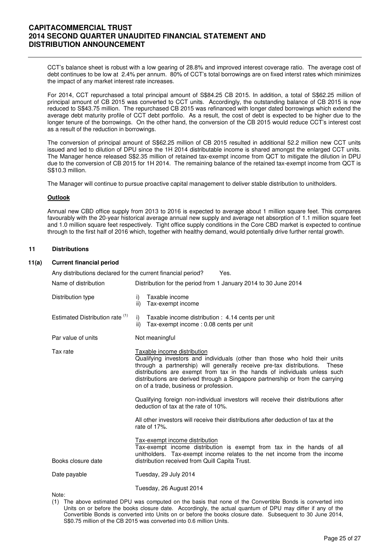CCT's balance sheet is robust with a low gearing of 28.8% and improved interest coverage ratio. The average cost of debt continues to be low at 2.4% per annum. 80% of CCT's total borrowings are on fixed interst rates which minimizes the impact of any market interest rate increases.

For 2014, CCT repurchased a total principal amount of S\$84.25 CB 2015. In addition, a total of S\$62.25 million of principal amount of CB 2015 was converted to CCT units. Accordingly, the outstanding balance of CB 2015 is now reduced to S\$43.75 million. The repurchased CB 2015 was refinanced with longer dated borrowings which extend the average debt maturity profile of CCT debt portfolio. As a result, the cost of debt is expected to be higher due to the longer tenure of the borrowings. On the other hand, the conversion of the CB 2015 would reduce CCT's interest cost as a result of the reduction in borrowings.

The conversion of principal amount of S\$62.25 million of CB 2015 resulted in additional 52.2 million new CCT units issued and led to dilution of DPU since the 1H 2014 distributable income is shared amongst the enlarged CCT units. The Manager hence released S\$2.35 million of retained tax-exempt income from QCT to mitigate the dilution in DPU due to the conversion of CB 2015 for 1H 2014. The remaining balance of the retained tax-exempt income from QCT is S\$10.3 million.

The Manager will continue to pursue proactive capital management to deliver stable distribution to unitholders.

### **Outlook**

Annual new CBD office supply from 2013 to 2016 is expected to average about 1 million square feet. This compares favourably with the 20-year historical average annual new supply and average net absorption of 1.1 million square feet and 1.0 million square feet respectively. Tight office supply conditions in the Core CBD market is expected to continue through to the first half of 2016 which, together with healthy demand, would potentially drive further rental growth.

### **11 Distributions**

### **11(a) Current financial period**

| Any distributions declared for the current financial period?<br>Yes. |           |                                                                                                                                                                                                                                                                                                                                                                                                      |  |  |  |  |
|----------------------------------------------------------------------|-----------|------------------------------------------------------------------------------------------------------------------------------------------------------------------------------------------------------------------------------------------------------------------------------------------------------------------------------------------------------------------------------------------------------|--|--|--|--|
| Name of distribution                                                 |           | Distribution for the period from 1 January 2014 to 30 June 2014                                                                                                                                                                                                                                                                                                                                      |  |  |  |  |
| Distribution type                                                    | i)<br>ii) | Taxable income<br>Tax-exempt income                                                                                                                                                                                                                                                                                                                                                                  |  |  |  |  |
| Estimated Distribution rate (1)                                      | ii)       | i) Taxable income distribution : 4.14 cents per unit<br>Tax-exempt income: 0.08 cents per unit                                                                                                                                                                                                                                                                                                       |  |  |  |  |
| Par value of units                                                   |           | Not meaningful                                                                                                                                                                                                                                                                                                                                                                                       |  |  |  |  |
| Tax rate                                                             |           | Taxable income distribution<br>Qualifying investors and individuals (other than those who hold their units<br>through a partnership) will generally receive pre-tax distributions.<br>These<br>distributions are exempt from tax in the hands of individuals unless such<br>distributions are derived through a Singapore partnership or from the carrying<br>on of a trade, business or profession. |  |  |  |  |
|                                                                      |           | Qualifying foreign non-individual investors will receive their distributions after<br>deduction of tax at the rate of 10%.                                                                                                                                                                                                                                                                           |  |  |  |  |
|                                                                      |           | All other investors will receive their distributions after deduction of tax at the<br>rate of 17%.                                                                                                                                                                                                                                                                                                   |  |  |  |  |
| Books closure date                                                   |           | <b>Tax-exempt income distribution</b><br>Tax-exempt income distribution is exempt from tax in the hands of all<br>unitholders. Tax-exempt income relates to the net income from the income<br>distribution received from Quill Capita Trust.                                                                                                                                                         |  |  |  |  |
| Date payable                                                         |           | Tuesday, 29 July 2014                                                                                                                                                                                                                                                                                                                                                                                |  |  |  |  |
|                                                                      |           | Tuesday, 26 August 2014                                                                                                                                                                                                                                                                                                                                                                              |  |  |  |  |

Note:

(1) The above estimated DPU was computed on the basis that none of the Convertible Bonds is converted into Units on or before the books closure date. Accordingly, the actual quantum of DPU may differ if any of the Convertible Bonds is converted into Units on or before the books closure date. Subsequent to 30 June 2014, S\$0.75 million of the CB 2015 was converted into 0.6 million Units.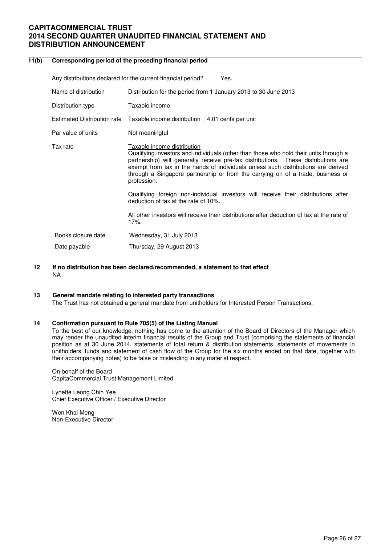| 11(b) | Corresponding period of the preceding financial period |                                                                                                                                                                                                                                                                                                                                                                                                   |  |  |  |  |  |
|-------|--------------------------------------------------------|---------------------------------------------------------------------------------------------------------------------------------------------------------------------------------------------------------------------------------------------------------------------------------------------------------------------------------------------------------------------------------------------------|--|--|--|--|--|
|       |                                                        | Any distributions declared for the current financial period?<br>Yes.                                                                                                                                                                                                                                                                                                                              |  |  |  |  |  |
|       | Name of distribution                                   | Distribution for the period from 1 January 2013 to 30 June 2013                                                                                                                                                                                                                                                                                                                                   |  |  |  |  |  |
|       | Distribution type                                      | Taxable income                                                                                                                                                                                                                                                                                                                                                                                    |  |  |  |  |  |
|       | <b>Estimated Distribution rate</b>                     | Taxable income distribution : 4.01 cents per unit                                                                                                                                                                                                                                                                                                                                                 |  |  |  |  |  |
|       | Par value of units                                     | Not meaningful                                                                                                                                                                                                                                                                                                                                                                                    |  |  |  |  |  |
|       | Tax rate                                               | Taxable income distribution<br>Qualifying investors and individuals (other than those who hold their units through a<br>partnership) will generally receive pre-tax distributions. These distributions are<br>exempt from tax in the hands of individuals unless such distributions are derived<br>through a Singapore partnership or from the carrying on of a trade, business or<br>profession. |  |  |  |  |  |
|       |                                                        | Qualifying foreign non-individual investors will receive their distributions after<br>deduction of tax at the rate of 10%.                                                                                                                                                                                                                                                                        |  |  |  |  |  |
|       |                                                        | All other investors will receive their distributions after deduction of tax at the rate of<br>17%.                                                                                                                                                                                                                                                                                                |  |  |  |  |  |
|       | Books closure date                                     | Wednesday, 31 July 2013                                                                                                                                                                                                                                                                                                                                                                           |  |  |  |  |  |
|       | Date payable                                           | Thursday, 29 August 2013                                                                                                                                                                                                                                                                                                                                                                          |  |  |  |  |  |

### **12 If no distribution has been declared/recommended, a statement to that effect**  NA

### **13 General mandate relating to interested party transactions**

The Trust has not obtained a general mandate from unitholders for Interested Person Transactions.

### **14 Confirmation pursuant to Rule 705(5) of the Listing Manual**

To the best of our knowledge, nothing has come to the attention of the Board of Directors of the Manager which may render the unaudited interim financial results of the Group and Trust (comprising the statements of financial position as at 30 June 2014, statements of total return & distribution statements, statements of movements in unitholders' funds and statement of cash flow of the Group for the six months ended on that date, together with their accompanying notes) to be false or misleading in any material respect.

On behalf of the Board CapitaCommercial Trust Management Limited

Lynette Leong Chin Yee Chief Executive Officer / Executive Director

Wen Khai Meng Non-Executive Director